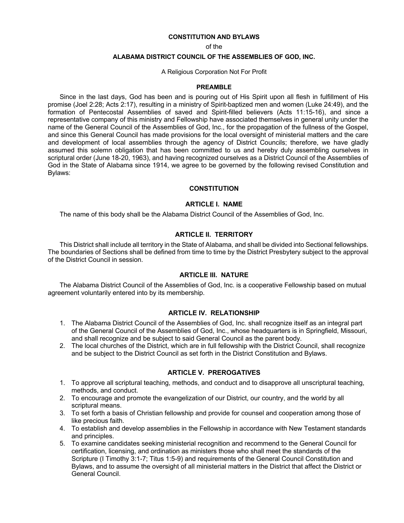#### **CONSTITUTION AND BYLAWS**

of the

#### **ALABAMA DISTRICT COUNCIL OF THE ASSEMBLIES OF GOD, INC.**

#### A Religious Corporation Not For Profit

#### **PREAMBLE**

Since in the last days, God has been and is pouring out of His Spirit upon all flesh in fulfillment of His promise (Joel 2:28; Acts 2:17), resulting in a ministry of Spirit-baptized men and women (Luke 24:49), and the formation of Pentecostal Assemblies of saved and Spirit-filled believers (Acts 11:15-16), and since a representative company of this ministry and Fellowship have associated themselves in general unity under the name of the General Council of the Assemblies of God, Inc., for the propagation of the fullness of the Gospel, and since this General Council has made provisions for the local oversight of ministerial matters and the care and development of local assemblies through the agency of District Councils; therefore, we have gladly assumed this solemn obligation that has been committed to us and hereby duly assembling ourselves in scriptural order (June 18-20, 1963), and having recognized ourselves as a District Council of the Assemblies of God in the State of Alabama since 1914, we agree to be governed by the following revised Constitution and Bylaws:

### **CONSTITUTION**

# **ARTICLE I. NAME**

The name of this body shall be the Alabama District Council of the Assemblies of God, Inc.

#### **ARTICLE II. TERRITORY**

This District shall include all territory in the State of Alabama, and shall be divided into Sectional fellowships. The boundaries of Sections shall be defined from time to time by the District Presbytery subject to the approval of the District Council in session.

#### **ARTICLE III. NATURE**

The Alabama District Council of the Assemblies of God, Inc. is a cooperative Fellowship based on mutual agreement voluntarily entered into by its membership.

# **ARTICLE IV. RELATIONSHIP**

- 1. The Alabama District Council of the Assemblies of God, Inc. shall recognize itself as an integral part of the General Council of the Assemblies of God, Inc., whose headquarters is in Springfield, Missouri, and shall recognize and be subject to said General Council as the parent body.
- 2. The local churches of the District, which are in full fellowship with the District Council, shall recognize and be subject to the District Council as set forth in the District Constitution and Bylaws.

#### **ARTICLE V. PREROGATIVES**

- 1. To approve all scriptural teaching, methods, and conduct and to disapprove all unscriptural teaching, methods, and conduct.
- 2. To encourage and promote the evangelization of our District, our country, and the world by all scriptural means.
- 3. To set forth a basis of Christian fellowship and provide for counsel and cooperation among those of like precious faith.
- 4. To establish and develop assemblies in the Fellowship in accordance with New Testament standards and principles.
- 5. To examine candidates seeking ministerial recognition and recommend to the General Council for certification, licensing, and ordination as ministers those who shall meet the standards of the Scripture (I Timothy 3:1-7; Titus 1:5-9) and requirements of the General Council Constitution and Bylaws, and to assume the oversight of all ministerial matters in the District that affect the District or General Council.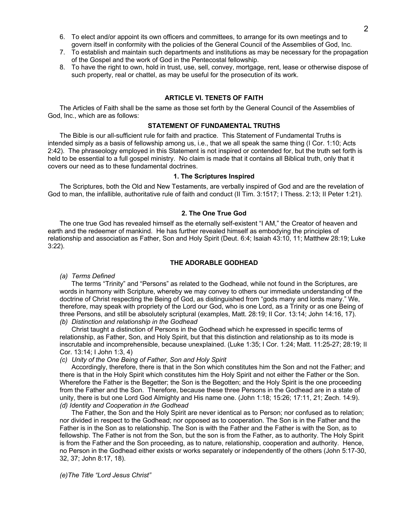- 6. To elect and/or appoint its own officers and committees, to arrange for its own meetings and to govern itself in conformity with the policies of the General Council of the Assemblies of God, Inc.
- 7. To establish and maintain such departments and institutions as may be necessary for the propagation of the Gospel and the work of God in the Pentecostal fellowship.
- 8. To have the right to own, hold in trust, use, sell, convey, mortgage, rent, lease or otherwise dispose of such property, real or chattel, as may be useful for the prosecution of its work.

#### **ARTICLE VI. TENETS OF FAITH**

The Articles of Faith shall be the same as those set forth by the General Council of the Assemblies of God, Inc., which are as follows:

### **STATEMENT OF FUNDAMENTAL TRUTHS**

The Bible is our all-sufficient rule for faith and practice. This Statement of Fundamental Truths is intended simply as a basis of fellowship among us, i.e., that we all speak the same thing (I Cor. 1:10; Acts 2:42). The phraseology employed in this Statement is not inspired or contended for, but the truth set forth is held to be essential to a full gospel ministry. No claim is made that it contains all Biblical truth, only that it covers our need as to these fundamental doctrines.

#### **1. The Scriptures Inspired**

The Scriptures, both the Old and New Testaments, are verbally inspired of God and are the revelation of God to man, the infallible, authoritative rule of faith and conduct (II Tim. 3:1517; I Thess. 2:13; II Peter 1:21).

### **2. The One True God**

The one true God has revealed himself as the eternally self-existent "I AM," the Creator of heaven and earth and the redeemer of mankind. He has further revealed himself as embodying the principles of relationship and association as Father, Son and Holy Spirit (Deut. 6:4; Isaiah 43:10, 11; Matthew 28:19; Luke 3:22).

#### **THE ADORABLE GODHEAD**

*(a) Terms Defined*

The terms "Trinity" and "Persons" as related to the Godhead, while not found in the Scriptures, are words in harmony with Scripture, whereby we may convey to others our immediate understanding of the doctrine of Christ respecting the Being of God, as distinguished from "gods many and lords many." We, therefore, may speak with propriety of the Lord our God, who is one Lord, as a Trinity or as one Being of three Persons, and still be absolutely scriptural (examples, Matt. 28:19; II Cor. 13:14; John 14:16, 17). *(b) Distinction and relationship in the Godhead*

Christ taught a distinction of Persons in the Godhead which he expressed in specific terms of relationship, as Father, Son, and Holy Spirit, but that this distinction and relationship as to its mode is inscrutable and incomprehensible, because unexplained. (Luke 1:35; I Cor. 1:24; Matt. 11:25-27; 28:19; II Cor. 13:14; I John 1:3, 4)

#### *(c) Unity of the One Being of Father, Son and Holy Spirit*

Accordingly, therefore, there is that in the Son which constitutes him the Son and not the Father; and there is that in the Holy Spirit which constitutes him the Holy Spirit and not either the Father or the Son. Wherefore the Father is the Begetter; the Son is the Begotten; and the Holy Spirit is the one proceeding from the Father and the Son. Therefore, because these three Persons in the Godhead are in a state of unity, there is but one Lord God Almighty and His name one. (John 1:18; 15:26; 17:11, 21; Zech. 14:9). *(d) Identity and Cooperation in the Godhead* 

The Father, the Son and the Holy Spirit are never identical as to Person; nor confused as to relation; nor divided in respect to the Godhead; nor opposed as to cooperation. The Son is in the Father and the Father is in the Son as to relationship. The Son is with the Father and the Father is with the Son, as to fellowship. The Father is not from the Son, but the son is from the Father, as to authority. The Holy Spirit is from the Father and the Son proceeding, as to nature, relationship, cooperation and authority. Hence, no Person in the Godhead either exists or works separately or independently of the others (John 5:17-30, 32, 37; John 8:17, 18).

*(e)The Title "Lord Jesus Christ"*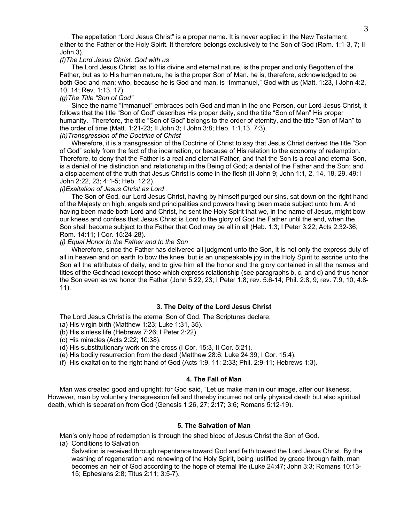The appellation "Lord Jesus Christ" is a proper name. It is never applied in the New Testament either to the Father or the Holy Spirit. It therefore belongs exclusively to the Son of God (Rom. 1:1-3, 7; II John 3).

#### *(f)The Lord Jesus Christ, God with us*

The Lord Jesus Christ, as to His divine and eternal nature, is the proper and only Begotten of the Father, but as to His human nature, he is the proper Son of Man. he is, therefore, acknowledged to be both God and man; who, because he is God and man, is "Immanuel," God with us (Matt. 1:23, I John 4:2, 10, 14; Rev. 1:13, 17).

## *(g)The Title "Son of God"*

Since the name "Immanuel" embraces both God and man in the one Person, our Lord Jesus Christ, it follows that the title "Son of God" describes His proper deity, and the title "Son of Man" His proper humanity. Therefore, the title "Son of God" belongs to the order of eternity, and the title "Son of Man" to the order of time (Matt. 1:21-23; II John 3; I John 3:8; Heb. 1:1,13, 7:3).

#### *(h)Transgression of the Doctrine of Christ*

Wherefore, it is a transgression of the Doctrine of Christ to say that Jesus Christ derived the title "Son of God" solely from the fact of the incarnation, or because of His relation to the economy of redemption. Therefore, to deny that the Father is a real and eternal Father, and that the Son is a real and eternal Son, is a denial of the distinction and relationship in the Being of God; a denial of the Father and the Son; and a displacement of the truth that Jesus Christ is come in the flesh (II John 9; John 1:1, 2, 14, 18, 29, 49; I John 2:22, 23; 4:1-5; Heb. 12:2).

## *(i)Exaltation of Jesus Christ as Lord*

The Son of God, our Lord Jesus Christ, having by himself purged our sins, sat down on the right hand of the Majesty on high, angels and principalities and powers having been made subject unto him. And having been made both Lord and Christ, he sent the Holy Spirit that we, in the name of Jesus, might bow our knees and confess that Jesus Christ is Lord to the glory of God the Father until the end, when the Son shall become subject to the Father that God may be all in all (Heb. 1:3; I Peter 3:22; Acts 2:32-36; Rom. 14:11; I Cor. 15:24-28).

#### *(j) Equal Honor to the Father and to the Son*

Wherefore, since the Father has delivered all judgment unto the Son, it is not only the express duty of all in heaven and on earth to bow the knee, but is an unspeakable joy in the Holy Spirit to ascribe unto the Son all the attributes of deity, and to give him all the honor and the glory contained in all the names and titles of the Godhead (except those which express relationship (see paragraphs b, c, and d) and thus honor the Son even as we honor the Father (John 5:22, 23; I Peter 1:8; rev. 5:6-14; Phil. 2:8, 9; rev. 7:9, 10; 4:8- 11).

#### **3. The Deity of the Lord Jesus Christ**

The Lord Jesus Christ is the eternal Son of God. The Scriptures declare:

- (a) His virgin birth (Matthew 1:23; Luke 1:31, 35).
- (b) His sinless life (Hebrews 7:26; I Peter 2:22).
- (c) His miracles (Acts 2:22; 10:38).
- (d) His substitutionary work on the cross (I Cor. 15:3, II Cor. 5:21).
- (e) His bodily resurrection from the dead (Matthew 28:6; Luke 24:39; I Cor. 15:4).
- (f) His exaltation to the right hand of God (Acts 1:9, 11; 2:33; Phil. 2:9-11; Hebrews 1:3).

#### **4. The Fall of Man**

Man was created good and upright; for God said, "Let us make man in our image, after our likeness. However, man by voluntary transgression fell and thereby incurred not only physical death but also spiritual death, which is separation from God (Genesis 1:26, 27; 2:17; 3:6; Romans 5:12-19).

#### **5. The Salvation of Man**

Man's only hope of redemption is through the shed blood of Jesus Christ the Son of God.

(a) Conditions to Salvation

Salvation is received through repentance toward God and faith toward the Lord Jesus Christ. By the washing of regeneration and renewing of the Holy Spirit, being justified by grace through faith, man becomes an heir of God according to the hope of eternal life (Luke 24:47; John 3:3; Romans 10:13- 15; Ephesians 2:8; Titus 2:11; 3:5-7).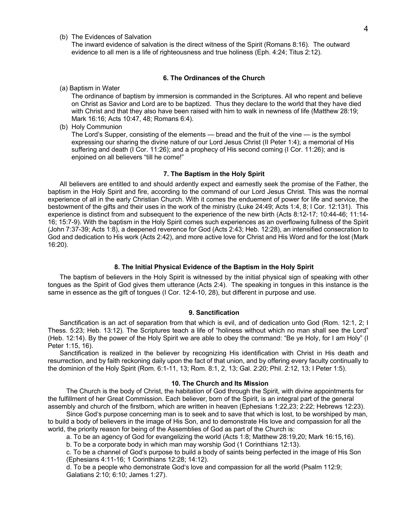(b) The Evidences of Salvation

The inward evidence of salvation is the direct witness of the Spirit (Romans 8:16). The outward evidence to all men is a life of righteousness and true holiness (Eph. 4:24; Titus 2:12).

#### **6. The Ordinances of the Church**

(a) Baptism in Water

The ordinance of baptism by immersion is commanded in the Scriptures. All who repent and believe on Christ as Savior and Lord are to be baptized. Thus they declare to the world that they have died with Christ and that they also have been raised with him to walk in newness of life (Matthew 28:19; Mark 16:16; Acts 10:47, 48; Romans 6:4).

(b) Holy Communion

The Lord's Supper, consisting of the elements — bread and the fruit of the vine — is the symbol expressing our sharing the divine nature of our Lord Jesus Christ (II Peter 1:4); a memorial of His suffering and death (I Cor. 11:26); and a prophecy of His second coming (I Cor. 11:26); and is enjoined on all believers "till he come!"

## **7. The Baptism in the Holy Spirit**

All believers are entitled to and should ardently expect and earnestly seek the promise of the Father, the baptism in the Holy Spirit and fire, according to the command of our Lord Jesus Christ. This was the normal experience of all in the early Christian Church. With it comes the enduement of power for life and service, the bestowment of the gifts and their uses in the work of the ministry (Luke 24:49; Acts 1:4, 8; I Cor. 12:131). This experience is distinct from and subsequent to the experience of the new birth (Acts 8:12-17; 10:44-46; 11:14- 16; 15:7-9). With the baptism in the Holy Spirit comes such experiences as an overflowing fullness of the Spirit (John 7:37-39; Acts 1:8), a deepened reverence for God (Acts 2:43; Heb. 12:28), an intensified consecration to God and dedication to His work (Acts 2:42), and more active love for Christ and His Word and for the lost (Mark 16:20).

#### **8. The Initial Physical Evidence of the Baptism in the Holy Spirit**

The baptism of believers in the Holy Spirit is witnessed by the initial physical sign of speaking with other tongues as the Spirit of God gives them utterance (Acts 2:4). The speaking in tongues in this instance is the same in essence as the gift of tongues (I Cor. 12:4-10, 28), but different in purpose and use.

#### **9. Sanctification**

Sanctification is an act of separation from that which is evil, and of dedication unto God (Rom. 12:1, 2; I Thess. 5:23; Heb. 13:12). The Scriptures teach a life of "holiness without which no man shall see the Lord" (Heb. 12:14). By the power of the Holy Spirit we are able to obey the command: "Be ye Holy, for I am Holy" (I Peter 1:15, 16).

Sanctification is realized in the believer by recognizing His identification with Christ in His death and resurrection, and by faith reckoning daily upon the fact of that union, and by offering every faculty continually to the dominion of the Holy Spirit (Rom. 6:1-11, 13; Rom. 8:1, 2, 13; Gal. 2:20; Phil. 2:12, 13; I Peter 1:5).

#### **10. The Church and Its Mission**

The Church is the body of Christ, the habitation of God through the Spirit, with divine appointments for the fulfillment of her Great Commission. Each believer, born of the Spirit, is an integral part of the general assembly and church of the firstborn, which are written in heaven (Ephesians 1:22,23; 2:22; Hebrews 12:23).

Since God's purpose concerning man is to seek and to save that which is lost, to be worshiped by man, to build a body of believers in the image of His Son, and to demonstrate His love and compassion for all the world, the priority reason for being of the Assemblies of God as part of the Church is:

a. To be an agency of God for evangelizing the world (Acts 1:8; Matthew 28:19,20; Mark 16:15,16).

b. To be a corporate body in which man may worship God (1 Corinthians 12:13).

c. To be a channel of God's purpose to build a body of saints being perfected in the image of His Son (Ephesians 4:11-16; 1 Corinthians 12:28; 14:12).

d. To be a people who demonstrate God's love and compassion for all the world (Psalm 112:9; Galatians 2:10; 6:10; James 1:27).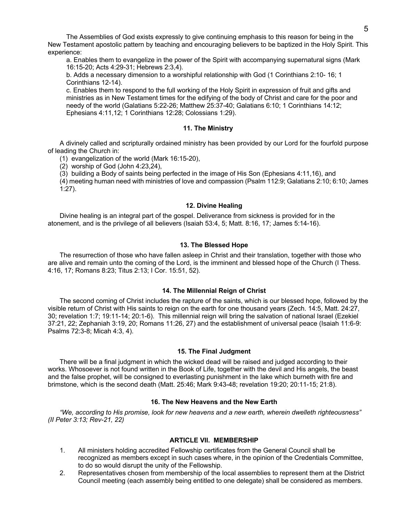The Assemblies of God exists expressly to give continuing emphasis to this reason for being in the New Testament apostolic pattern by teaching and encouraging believers to be baptized in the Holy Spirit. This experience:

a. Enables them to evangelize in the power of the Spirit with accompanying supernatural signs (Mark 16:15-20; Acts 4:29-31; Hebrews 2:3,4).

b. Adds a necessary dimension to a worshipful relationship with God (1 Corinthians 2:10- 16; 1 Corinthians 12-14).

c. Enables them to respond to the full working of the Holy Spirit in expression of fruit and gifts and ministries as in New Testament times for the edifying of the body of Christ and care for the poor and needy of the world (Galatians 5:22-26; Matthew 25:37-40; Galatians 6:10; 1 Corinthians 14:12; Ephesians 4:11,12; 1 Corinthians 12:28; Colossians 1:29).

# **11. The Ministry**

A divinely called and scripturally ordained ministry has been provided by our Lord for the fourfold purpose of leading the Church in:

(1) evangelization of the world (Mark 16:15-20),

(2) worship of God (John 4:23,24),

(3) building a Body of saints being perfected in the image of His Son (Ephesians 4:11,16), and

(4) meeting human need with ministries of love and compassion (Psalm 112:9; Galatians 2:10; 6:10; James 1:27).

### **12. Divine Healing**

Divine healing is an integral part of the gospel. Deliverance from sickness is provided for in the atonement, and is the privilege of all believers (Isaiah 53:4, 5; Matt. 8:16, 17; James 5:14-16).

### **13. The Blessed Hope**

The resurrection of those who have fallen asleep in Christ and their translation, together with those who are alive and remain unto the coming of the Lord, is the imminent and blessed hope of the Church (I Thess. 4:16, 17; Romans 8:23; Titus 2:13; I Cor. 15:51, 52).

### **14. The Millennial Reign of Christ**

The second coming of Christ includes the rapture of the saints, which is our blessed hope, followed by the visible return of Christ with His saints to reign on the earth for one thousand years (Zech. 14:5, Matt. 24:27, 30; revelation 1:7; 19:11-14; 20:1-6). This millennial reign will bring the salvation of national Israel (Ezekiel 37:21, 22; Zephaniah 3:19, 20; Romans 11:26, 27) and the establishment of universal peace (Isaiah 11:6-9: Psalms 72:3-8; Micah 4:3, 4).

#### **15. The Final Judgment**

There will be a final judgment in which the wicked dead will be raised and judged according to their works. Whosoever is not found written in the Book of Life, together with the devil and His angels, the beast and the false prophet, will be consigned to everlasting punishment in the lake which burneth with fire and brimstone, which is the second death (Matt. 25:46; Mark 9:43-48; revelation 19:20; 20:11-15; 21:8).

#### **16. The New Heavens and the New Earth**

*"We, according to His promise, look for new heavens and a new earth, wherein dwelleth righteousness" (II Peter 3:13; Rev-21, 22)* 

# **ARTICLE VII. MEMBERSHIP**

- 1. All ministers holding accredited Fellowship certificates from the General Council shall be recognized as members except in such cases where, in the opinion of the Credentials Committee, to do so would disrupt the unity of the Fellowship.
- 2. Representatives chosen from membership of the local assemblies to represent them at the District Council meeting (each assembly being entitled to one delegate) shall be considered as members.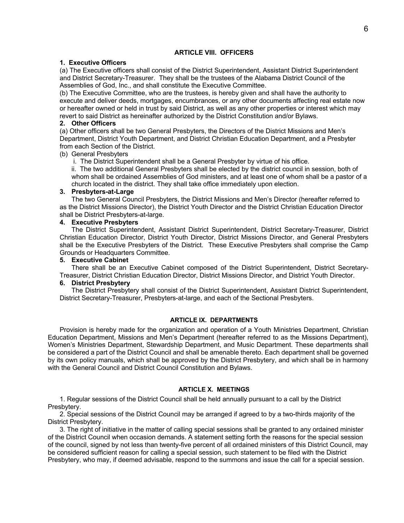# **ARTICLE VIII. OFFICERS**

#### **1. Executive Officers**

(a) The Executive officers shall consist of the District Superintendent, Assistant District Superintendent and District Secretary-Treasurer. They shall be the trustees of the Alabama District Council of the Assemblies of God, Inc., and shall constitute the Executive Committee.

(b) The Executive Committee, who are the trustees, is hereby given and shall have the authority to execute and deliver deeds, mortgages, encumbrances, or any other documents affecting real estate now or hereafter owned or held in trust by said District, as well as any other properties or interest which may revert to said District as hereinafter authorized by the District Constitution and/or Bylaws.

### **2. Other Officers**

(a) Other officers shall be two General Presbyters, the Directors of the District Missions and Men's Department, District Youth Department, and District Christian Education Department, and a Presbyter from each Section of the District.

### (b) General Presbyters

i. The District Superintendent shall be a General Presbyter by virtue of his office.

ii. The two additional General Presbyters shall be elected by the district council in session, both of whom shall be ordained Assemblies of God ministers, and at least one of whom shall be a pastor of a church located in the district. They shall take office immediately upon election.

## **3. Presbyters-at-Large**

The two General Council Presbyters, the District Missions and Men's Director (hereafter referred to as the District Missions Director), the District Youth Director and the District Christian Education Director shall be District Presbyters-at-large.

### **4. Executive Presbyters**

The District Superintendent, Assistant District Superintendent, District Secretary-Treasurer, District Christian Education Director, District Youth Director, District Missions Director, and General Presbyters shall be the Executive Presbyters of the District. These Executive Presbyters shall comprise the Camp Grounds or Headquarters Committee.

## **5. Executive Cabinet**

There shall be an Executive Cabinet composed of the District Superintendent, District Secretary-Treasurer, District Christian Education Director, District Missions Director, and District Youth Director.

## **6. District Presbytery**

The District Presbytery shall consist of the District Superintendent, Assistant District Superintendent, District Secretary-Treasurer, Presbyters-at-large, and each of the Sectional Presbyters.

# **ARTICLE IX. DEPARTMENTS**

Provision is hereby made for the organization and operation of a Youth Ministries Department, Christian Education Department, Missions and Men's Department (hereafter referred to as the Missions Department), Women's Ministries Department, Stewardship Department, and Music Department. These departments shall be considered a part of the District Council and shall be amenable thereto. Each department shall be governed by its own policy manuals, which shall be approved by the District Presbytery, and which shall be in harmony with the General Council and District Council Constitution and Bylaws.

### **ARTICLE X. MEETINGS**

1. Regular sessions of the District Council shall be held annually pursuant to a call by the District Presbytery.

2. Special sessions of the District Council may be arranged if agreed to by a two-thirds majority of the District Presbytery.

3. The right of initiative in the matter of calling special sessions shall be granted to any ordained minister of the District Council when occasion demands. A statement setting forth the reasons for the special session of the council, signed by not less than twenty-five percent of all ordained ministers of this District Council, may be considered sufficient reason for calling a special session, such statement to be filed with the District Presbytery, who may, if deemed advisable, respond to the summons and issue the call for a special session.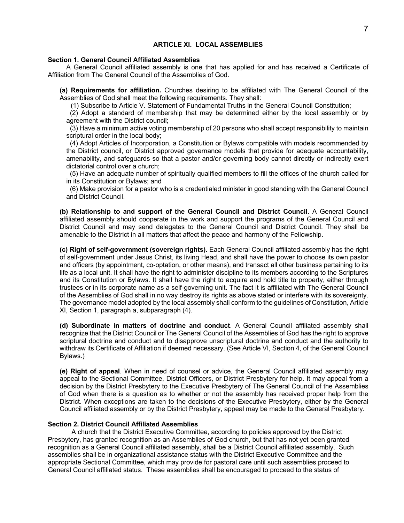# **ARTICLE XI. LOCAL ASSEMBLIES**

#### **Section 1. General Council Affiliated Assemblies**

A General Council affiliated assembly is one that has applied for and has received a Certificate of Affiliation from The General Council of the Assemblies of God.

**(a) Requirements for affiliation.** Churches desiring to be affiliated with The General Council of the Assemblies of God shall meet the following requirements. They shall:

(1) Subscribe to Article V. Statement of Fundamental Truths in the General Council Constitution;

 (2) Adopt a standard of membership that may be determined either by the local assembly or by agreement with the District council;

 (3) Have a minimum active voting membership of 20 persons who shall accept responsibility to maintain scriptural order in the local body;

 (4) Adopt Articles of Incorporation, a Constitution or Bylaws compatible with models recommended by the District council, or District approved governance models that provide for adequate accountability, amenability, and safeguards so that a pastor and/or governing body cannot directly or indirectly exert dictatorial control over a church;

 (5) Have an adequate number of spiritually qualified members to fill the offices of the church called for in its Constitution or Bylaws; and

 (6) Make provision for a pastor who is a credentialed minister in good standing with the General Council and District Council.

**(b) Relationship to and support of the General Council and District Council.** A General Council affiliated assembly should cooperate in the work and support the programs of the General Council and District Council and may send delegates to the General Council and District Council. They shall be amenable to the District in all matters that affect the peace and harmony of the Fellowship.

**(c) Right of self-government (sovereign rights).** Each General Council affiliated assembly has the right of self-government under Jesus Christ, its living Head, and shall have the power to choose its own pastor and officers (by appointment, co-optation, or other means), and transact all other business pertaining to its life as a local unit. It shall have the right to administer discipline to its members according to the Scriptures and its Constitution or Bylaws. It shall have the right to acquire and hold title to property, either through trustees or in its corporate name as a self-governing unit. The fact it is affiliated with The General Council of the Assemblies of God shall in no way destroy its rights as above stated or interfere with its sovereignty. The governance model adopted by the local assembly shall conform to the guidelines of Constitution, Article XI, Section 1, paragraph a, subparagraph (4).

**(d) Subordinate in matters of doctrine and conduct**. A General Council affiliated assembly shall recognize that the District Council or The General Council of the Assemblies of God has the right to approve scriptural doctrine and conduct and to disapprove unscriptural doctrine and conduct and the authority to withdraw its Certificate of Affiliation if deemed necessary. (See Article VI, Section 4, of the General Council Bylaws.)

**(e) Right of appeal**. When in need of counsel or advice, the General Council affiliated assembly may appeal to the Sectional Committee, District Officers, or District Presbytery for help. It may appeal from a decision by the District Presbytery to the Executive Presbytery of The General Council of the Assemblies of God when there is a question as to whether or not the assembly has received proper help from the District. When exceptions are taken to the decisions of the Executive Presbytery, either by the General Council affiliated assembly or by the District Presbytery, appeal may be made to the General Presbytery.

# **Section 2. District Council Affiliated Assemblies**

A church that the District Executive Committee, according to policies approved by the District Presbytery, has granted recognition as an Assemblies of God church, but that has not yet been granted recognition as a General Council affiliated assembly, shall be a District Council affiliated assembly. Such assemblies shall be in organizational assistance status with the District Executive Committee and the appropriate Sectional Committee, which may provide for pastoral care until such assemblies proceed to General Council affiliated status. These assemblies shall be encouraged to proceed to the status of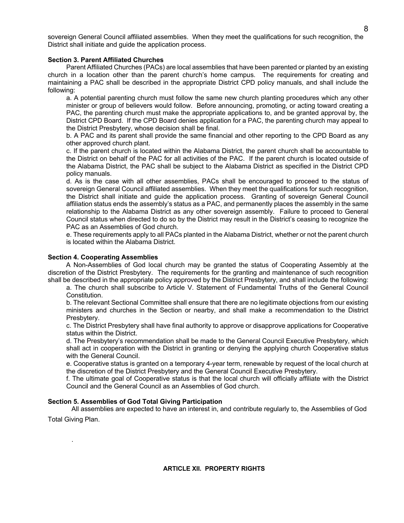sovereign General Council affiliated assemblies. When they meet the qualifications for such recognition, the District shall initiate and guide the application process.

### **Section 3. Parent Affiliated Churches**

Parent Affiliated Churches (PACs) are local assemblies that have been parented or planted by an existing church in a location other than the parent church's home campus. The requirements for creating and maintaining a PAC shall be described in the appropriate District CPD policy manuals, and shall include the following:

a. A potential parenting church must follow the same new church planting procedures which any other minister or group of believers would follow. Before announcing, promoting, or acting toward creating a PAC, the parenting church must make the appropriate applications to, and be granted approval by, the District CPD Board. If the CPD Board denies application for a PAC, the parenting church may appeal to the District Presbytery, whose decision shall be final.

b. A PAC and its parent shall provide the same financial and other reporting to the CPD Board as any other approved church plant.

c. If the parent church is located within the Alabama District, the parent church shall be accountable to the District on behalf of the PAC for all activities of the PAC. If the parent church is located outside of the Alabama District, the PAC shall be subject to the Alabama District as specified in the District CPD policy manuals.

d. As is the case with all other assemblies, PACs shall be encouraged to proceed to the status of sovereign General Council affiliated assemblies. When they meet the qualifications for such recognition, the District shall initiate and guide the application process. Granting of sovereign General Council affiliation status ends the assembly's status as a PAC, and permanently places the assembly in the same relationship to the Alabama District as any other sovereign assembly. Failure to proceed to General Council status when directed to do so by the District may result in the District's ceasing to recognize the PAC as an Assemblies of God church.

e. These requirements apply to all PACs planted in the Alabama District, whether or not the parent church is located within the Alabama District.

### **Section 4. Cooperating Assemblies**

.

 A Non-Assemblies of God local church may be granted the status of Cooperating Assembly at the discretion of the District Presbytery. The requirements for the granting and maintenance of such recognition shall be described in the appropriate policy approved by the District Presbytery, and shall include the following:

a. The church shall subscribe to Article V. Statement of Fundamental Truths of the General Council Constitution.

b. The relevant Sectional Committee shall ensure that there are no legitimate objections from our existing ministers and churches in the Section or nearby, and shall make a recommendation to the District Presbytery.

c. The District Presbytery shall have final authority to approve or disapprove applications for Cooperative status within the District.

d. The Presbytery's recommendation shall be made to the General Council Executive Presbytery, which shall act in cooperation with the District in granting or denying the applying church Cooperative status with the General Council.

e. Cooperative status is granted on a temporary 4-year term, renewable by request of the local church at the discretion of the District Presbytery and the General Council Executive Presbytery.

f. The ultimate goal of Cooperative status is that the local church will officially affiliate with the District Council and the General Council as an Assemblies of God church.

# **Section 5. Assemblies of God Total Giving Participation**

All assemblies are expected to have an interest in, and contribute regularly to, the Assemblies of God Total Giving Plan.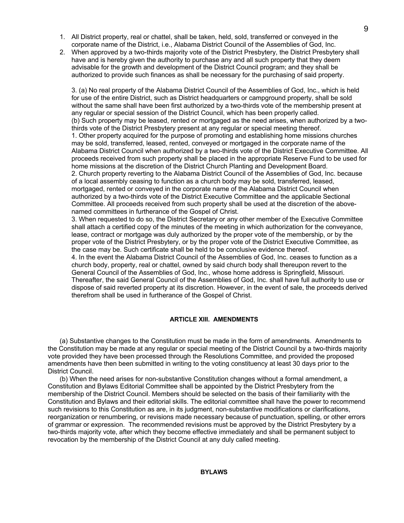- 1. All District property, real or chattel, shall be taken, held, sold, transferred or conveyed in the corporate name of the District, i.e., Alabama District Council of the Assemblies of God, Inc.
- 2. When approved by a two-thirds majority vote of the District Presbytery, the District Presbytery shall have and is hereby given the authority to purchase any and all such property that they deem advisable for the growth and development of the District Council program; and they shall be authorized to provide such finances as shall be necessary for the purchasing of said property.

3. (a) No real property of the Alabama District Council of the Assemblies of God, Inc., which is held for use of the entire District, such as District headquarters or campground property, shall be sold without the same shall have been first authorized by a two-thirds vote of the membership present at any regular or special session of the District Council, which has been properly called. (b) Such property may be leased, rented or mortgaged as the need arises, when authorized by a twothirds vote of the District Presbytery present at any regular or special meeting thereof. 1. Other property acquired for the purpose of promoting and establishing home missions churches may be sold, transferred, leased, rented, conveyed or mortgaged in the corporate name of the Alabama District Council when authorized by a two-thirds vote of the District Executive Committee. All proceeds received from such property shall be placed in the appropriate Reserve Fund to be used for home missions at the discretion of the District Church Planting and Development Board. 2. Church property reverting to the Alabama District Council of the Assemblies of God, Inc. because of a local assembly ceasing to function as a church body may be sold, transferred, leased, mortgaged, rented or conveyed in the corporate name of the Alabama District Council when authorized by a two-thirds vote of the District Executive Committee and the applicable Sectional Committee. All proceeds received from such property shall be used at the discretion of the abovenamed committees in furtherance of the Gospel of Christ.

3. When requested to do so, the District Secretary or any other member of the Executive Committee shall attach a certified copy of the minutes of the meeting in which authorization for the conveyance, lease, contract or mortgage was duly authorized by the proper vote of the membership, or by the proper vote of the District Presbytery, or by the proper vote of the District Executive Committee, as the case may be. Such certificate shall be held to be conclusive evidence thereof.

4. In the event the Alabama District Council of the Assemblies of God, Inc. ceases to function as a church body, property, real or chattel, owned by said church body shall thereupon revert to the General Council of the Assemblies of God, Inc., whose home address is Springfield, Missouri. Thereafter, the said General Council of the Assemblies of God, Inc. shall have full authority to use or dispose of said reverted property at its discretion. However, in the event of sale, the proceeds derived therefrom shall be used in furtherance of the Gospel of Christ.

## **ARTICLE XIII. AMENDMENTS**

(a) Substantive changes to the Constitution must be made in the form of amendments. Amendments to the Constitution may be made at any regular or special meeting of the District Council by a two-thirds majority vote provided they have been processed through the Resolutions Committee, and provided the proposed amendments have then been submitted in writing to the voting constituency at least 30 days prior to the District Council.

(b) When the need arises for non-substantive Constitution changes without a formal amendment, a Constitution and Bylaws Editorial Committee shall be appointed by the District Presbytery from the membership of the District Council. Members should be selected on the basis of their familiarity with the Constitution and Bylaws and their editorial skills. The editorial committee shall have the power to recommend such revisions to this Constitution as are, in its judgment, non-substantive modifications or clarifications, reorganization or renumbering, or revisions made necessary because of punctuation, spelling, or other errors of grammar or expression. The recommended revisions must be approved by the District Presbytery by a two-thirds majority vote, after which they become effective immediately and shall be permanent subject to revocation by the membership of the District Council at any duly called meeting.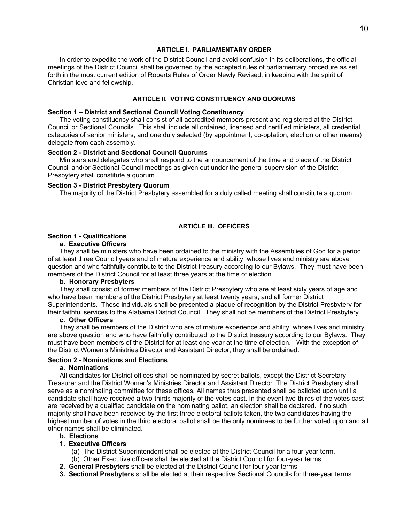#### **ARTICLE I. PARLIAMENTARY ORDER**

In order to expedite the work of the District Council and avoid confusion in its deliberations, the official meetings of the District Council shall be governed by the accepted rules of parliamentary procedure as set forth in the most current edition of Roberts Rules of Order Newly Revised, in keeping with the spirit of Christian love and fellowship.

#### **ARTICLE II. VOTING CONSTITUENCY AND QUORUMS**

#### **Section 1 – District and Sectional Council Voting Constituency**

The voting constituency shall consist of all accredited members present and registered at the District Council or Sectional Councils. This shall include all ordained, licensed and certified ministers, all credential categories of senior ministers, and one duly selected (by appointment, co-optation, election or other means) delegate from each assembly.

# **Section 2 - District and Sectional Council Quorums**

Ministers and delegates who shall respond to the announcement of the time and place of the District Council and/or Sectional Council meetings as given out under the general supervision of the District Presbytery shall constitute a quorum.

#### **Section 3 - District Presbytery Quorum**

The majority of the District Presbytery assembled for a duly called meeting shall constitute a quorum.

#### **ARTICLE III. OFFICERS**

# **Section 1 - Qualifications**

# **a. Executive Officers**

They shall be ministers who have been ordained to the ministry with the Assemblies of God for a period of at least three Council years and of mature experience and ability, whose lives and ministry are above question and who faithfully contribute to the District treasury according to our Bylaws. They must have been members of the District Council for at least three years at the time of election.

### **b. Honorary Presbyters**

They shall consist of former members of the District Presbytery who are at least sixty years of age and who have been members of the District Presbytery at least twenty years, and all former District Superintendents. These individuals shall be presented a plaque of recognition by the District Presbytery for their faithful services to the Alabama District Council. They shall not be members of the District Presbytery.

#### **c. Other Officers**

They shall be members of the District who are of mature experience and ability, whose lives and ministry are above question and who have faithfully contributed to the District treasury according to our Bylaws. They must have been members of the District for at least one year at the time of election. With the exception of the District Women's Ministries Director and Assistant Director, they shall be ordained.

#### **Section 2 - Nominations and Elections**

#### **a. Nominations**

All candidates for District offices shall be nominated by secret ballots, except the District Secretary-Treasurer and the District Women's Ministries Director and Assistant Director. The District Presbytery shall serve as a nominating committee for these offices. All names thus presented shall be balloted upon until a candidate shall have received a two-thirds majority of the votes cast. In the event two-thirds of the votes cast are received by a qualified candidate on the nominating ballot, an election shall be declared. If no such majority shall have been received by the first three electoral ballots taken, the two candidates having the highest number of votes in the third electoral ballot shall be the only nominees to be further voted upon and all other names shall be eliminated.

# **b. Elections**

# **1. Executive Officers**

- (a) The District Superintendent shall be elected at the District Council for a four-year term.
- (b) Other Executive officers shall be elected at the District Council for four-year terms.
- **2. General Presbyters** shall be elected at the District Council for four-year terms.
- **3. Sectional Presbyters** shall be elected at their respective Sectional Councils for three-year terms.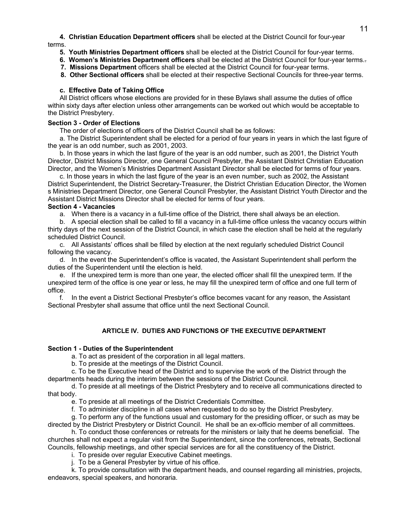**4. Christian Education Department officers** shall be elected at the District Council for four-year terms.

- **5. Youth Ministries Department officers** shall be elected at the District Council for four-year terms.
- **6. Women's Ministries Department officers** shall be elected at the District Council for four-year terms..
- **7. Missions Department** officers shall be elected at the District Council for four-year terms.
- **8. Other Sectional officers** shall be elected at their respective Sectional Councils for three-year terms.

## **c. Effective Date of Taking Office**

All District officers whose elections are provided for in these Bylaws shall assume the duties of office within sixty days after election unless other arrangements can be worked out which would be acceptable to the District Presbytery.

## **Section 3 - Order of Elections**

The order of elections of officers of the District Council shall be as follows:

a. The District Superintendent shall be elected for a period of four years in years in which the last figure of the year is an odd number, such as 2001, 2003.

b. In those years in which the last figure of the year is an odd number, such as 2001, the District Youth Director, District Missions Director, one General Council Presbyter, the Assistant District Christian Education Director, and the Women's Ministries Department Assistant Director shall be elected for terms of four years.

c. In those years in which the last figure of the year is an even number, such as 2002, the Assistant District Superintendent, the District Secretary-Treasurer, the District Christian Education Director, the Women s Ministries Department Director, one General Council Presbyter, the Assistant District Youth Director and the Assistant District Missions Director shall be elected for terms of four years.

# **Section 4 - Vacancies**

a. When there is a vacancy in a full-time office of the District, there shall always be an election.

b. A special election shall be called to fill a vacancy in a full-time office unless the vacancy occurs within thirty days of the next session of the District Council, in which case the election shall be held at the regularly scheduled District Council.

c. All Assistants' offices shall be filled by election at the next regularly scheduled District Council following the vacancy.

d. In the event the Superintendent's office is vacated, the Assistant Superintendent shall perform the duties of the Superintendent until the election is held.

e. If the unexpired term is more than one year, the elected officer shall fill the unexpired term. If the unexpired term of the office is one year or less, he may fill the unexpired term of office and one full term of office.

f. In the event a District Sectional Presbyter's office becomes vacant for any reason, the Assistant Sectional Presbyter shall assume that office until the next Sectional Council.

## **ARTICLE IV. DUTIES AND FUNCTIONS OF THE EXECUTIVE DEPARTMENT**

## **Section 1 - Duties of the Superintendent**

a. To act as president of the corporation in all legal matters.

b. To preside at the meetings of the District Council.

c. To be the Executive head of the District and to supervise the work of the District through the departments heads during the interim between the sessions of the District Council.

d. To preside at all meetings of the District Presbytery and to receive all communications directed to that body.

e. To preside at all meetings of the District Credentials Committee.

f. To administer discipline in all cases when requested to do so by the District Presbytery.

g. To perform any of the functions usual and customary for the presiding officer, or such as may be directed by the District Presbytery or District Council. He shall be an ex-officio member of all committees.

h. To conduct those conferences or retreats for the ministers or laity that he deems beneficial. The churches shall not expect a regular visit from the Superintendent, since the conferences, retreats, Sectional Councils, fellowship meetings, and other special services are for all the constituency of the District.

i. To preside over regular Executive Cabinet meetings.

j. To be a General Presbyter by virtue of his office.

k. To provide consultation with the department heads, and counsel regarding all ministries, projects, endeavors, special speakers, and honoraria.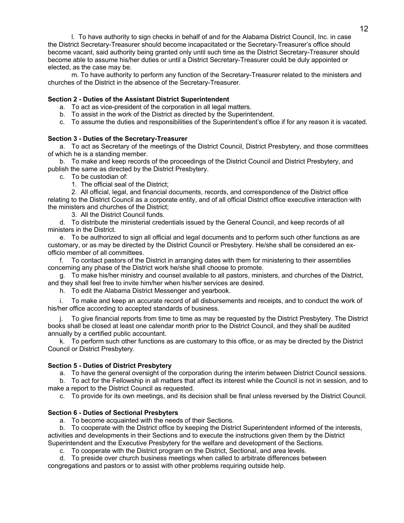l. To have authority to sign checks in behalf of and for the Alabama District Council, Inc. in case the District Secretary-Treasurer should become incapacitated or the Secretary-Treasurer's office should become vacant, said authority being granted only until such time as the District Secretary-Treasurer should become able to assume his/her duties or until a District Secretary-Treasurer could be duly appointed or elected, as the case may be.

m. To have authority to perform any function of the Secretary-Treasurer related to the ministers and churches of the District in the absence of the Secretary-Treasurer.

# **Section 2 - Duties of the Assistant District Superintendent**

- a. To act as vice-president of the corporation in all legal matters.
- b. To assist in the work of the District as directed by the Superintendent.
- c. To assume the duties and responsibilities of the Superintendent's office if for any reason it is vacated.

### **Section 3 - Duties of the Secretary-Treasurer**

a. To act as Secretary of the meetings of the District Council, District Presbytery, and those committees of which he is a standing member.

b. To make and keep records of the proceedings of the District Council and District Presbytery, and publish the same as directed by the District Presbytery.

c. To be custodian of:

1. The official seal of the District;

2. All official, legal, and financial documents, records, and correspondence of the District office relating to the District Council as a corporate entity, and of all official District office executive interaction with the ministers and churches of the District;

3. All the District Council funds.

d. To distribute the ministerial credentials issued by the General Council, and keep records of all ministers in the District.

e. To be authorized to sign all official and legal documents and to perform such other functions as are customary, or as may be directed by the District Council or Presbytery. He/she shall be considered an exofficio member of all committees.

f. To contact pastors of the District in arranging dates with them for ministering to their assemblies concerning any phase of the District work he/she shall choose to promote.

g. To make his/her ministry and counsel available to all pastors, ministers, and churches of the District, and they shall feel free to invite him/her when his/her services are desired.

h. To edit the Alabama District Messenger and yearbook.

i. To make and keep an accurate record of all disbursements and receipts, and to conduct the work of his/her office according to accepted standards of business.

To give financial reports from time to time as may be requested by the District Presbytery. The District books shall be closed at least one calendar month prior to the District Council, and they shall be audited annually by a certified public accountant.

k. To perform such other functions as are customary to this office, or as may be directed by the District Council or District Presbytery.

## **Section 5 - Duties of District Presbytery**

a. To have the general oversight of the corporation during the interim between District Council sessions.

b. To act for the Fellowship in all matters that affect its interest while the Council is not in session, and to make a report to the District Council as requested.

c. To provide for its own meetings, and its decision shall be final unless reversed by the District Council.

## **Section 6 - Duties of Sectional Presbyters**

a. To become acquainted with the needs of their Sections.

b. To cooperate with the District office by keeping the District Superintendent informed of the interests, activities and developments in their Sections and to execute the instructions given them by the District Superintendent and the Executive Presbytery for the welfare and development of the Sections.

c. To cooperate with the District program on the District, Sectional, and area levels.

d. To preside over church business meetings when called to arbitrate differences between congregations and pastors or to assist with other problems requiring outside help.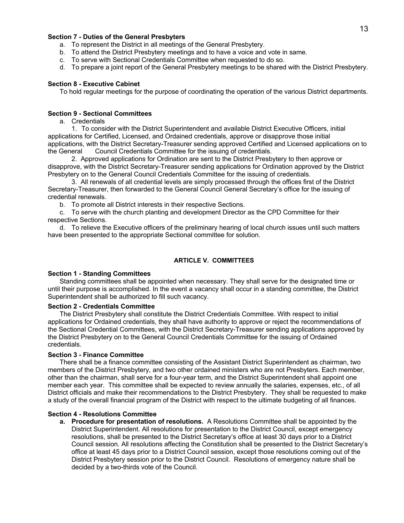# 13

### **Section 7 - Duties of the General Presbyters**

- a. To represent the District in all meetings of the General Presbytery.
- b. To attend the District Presbytery meetings and to have a voice and vote in same.
- c. To serve with Sectional Credentials Committee when requested to do so.
- d. To prepare a joint report of the General Presbytery meetings to be shared with the District Presbytery.

## **Section 8 - Executive Cabinet**

To hold regular meetings for the purpose of coordinating the operation of the various District departments.

#### **Section 9 - Sectional Committees**

## a. Credentials

1. To consider with the District Superintendent and available District Executive Officers, initial applications for Certified, Licensed, and Ordained credentials, approve or disapprove those initial applications, with the District Secretary-Treasurer sending approved Certified and Licensed applications on to the General Council Credentials Committee for the issuing of credentials.

2. Approved applications for Ordination are sent to the District Presbytery to then approve or disapprove, with the District Secretary-Treasurer sending applications for Ordination approved by the District Presbytery on to the General Council Credentials Committee for the issuing of credentials.

3. All renewals of all credential levels are simply processed through the offices first of the District Secretary-Treasurer, then forwarded to the General Council General Secretary's office for the issuing of credential renewals.

b. To promote all District interests in their respective Sections.

c. To serve with the church planting and development Director as the CPD Committee for their respective Sections.

d. To relieve the Executive officers of the preliminary hearing of local church issues until such matters have been presented to the appropriate Sectional committee for solution.

#### **ARTICLE V. COMMITTEES**

#### **Section 1 - Standing Committees**

Standing committees shall be appointed when necessary. They shall serve for the designated time or until their purpose is accomplished. In the event a vacancy shall occur in a standing committee, the District Superintendent shall be authorized to fill such vacancy.

#### **Section 2 - Credentials Committee**

The District Presbytery shall constitute the District Credentials Committee. With respect to initial applications for Ordained credentials, they shall have authority to approve or reject the recommendations of the Sectional Credential Committees, with the District Secretary-Treasurer sending applications approved by the District Presbytery on to the General Council Credentials Committee for the issuing of Ordained credentials.

#### **Section 3 - Finance Committee**

There shall be a finance committee consisting of the Assistant District Superintendent as chairman, two members of the District Presbytery, and two other ordained ministers who are not Presbyters. Each member, other than the chairman, shall serve for a four-year term, and the District Superintendent shall appoint one member each year. This committee shall be expected to review annually the salaries, expenses, etc., of all District officials and make their recommendations to the District Presbytery. They shall be requested to make a study of the overall financial program of the District with respect to the ultimate budgeting of all finances.

#### **Section 4 - Resolutions Committee**

**a. Procedure for presentation of resolutions.** A Resolutions Committee shall be appointed by the District Superintendent. All resolutions for presentation to the District Council, except emergency resolutions, shall be presented to the District Secretary's office at least 30 days prior to a District Council session. All resolutions affecting the Constitution shall be presented to the District Secretary's office at least 45 days prior to a District Council session, except those resolutions coming out of the District Presbytery session prior to the District Council. Resolutions of emergency nature shall be decided by a two-thirds vote of the Council.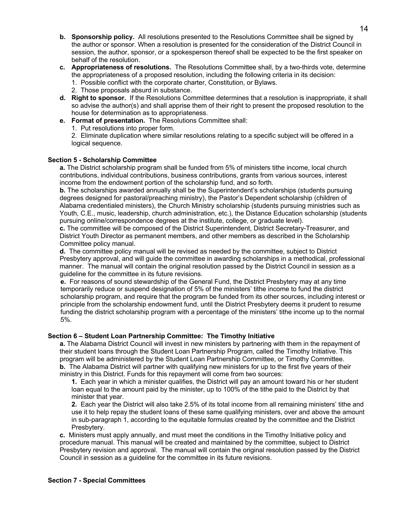- **b. Sponsorship policy.** All resolutions presented to the Resolutions Committee shall be signed by the author or sponsor. When a resolution is presented for the consideration of the District Council in session, the author, sponsor, or a spokesperson thereof shall be expected to be the first speaker on behalf of the resolution.
- **c. Appropriateness of resolutions.** The Resolutions Committee shall, by a two-thirds vote, determine the appropriateness of a proposed resolution, including the following criteria in its decision: 1. Possible conflict with the corporate charter, Constitution, or Bylaws.
	- 2. Those proposals absurd in substance.
- **d. Right to sponsor.** If the Resolutions Committee determines that a resolution is inappropriate, it shall so advise the author(s) and shall apprise them of their right to present the proposed resolution to the house for determination as to appropriateness.
- **e. Format of presentation.** The Resolutions Committee shall:
	- 1. Put resolutions into proper form.

2. Eliminate duplication where similar resolutions relating to a specific subject will be offered in a logical sequence.

# **Section 5 - Scholarship Committee**

**a.** The District scholarship program shall be funded from 5% of ministers tithe income, local church contributions, individual contributions, business contributions, grants from various sources, interest income from the endowment portion of the scholarship fund, and so forth.

**b.** The scholarships awarded annually shall be the Superintendent's scholarships (students pursuing degrees designed for pastoral/preaching ministry), the Pastor's Dependent scholarship (children of Alabama credentialed ministers), the Church Ministry scholarship (students pursuing ministries such as Youth, C.E., music, leadership, church administration, etc.), the Distance Education scholarship (students pursuing online/correspondence degrees at the institute, college, or graduate level).

**c.** The committee will be composed of the District Superintendent, District Secretary-Treasurer, and District Youth Director as permanent members, and other members as described in the Scholarship Committee policy manual.

**d.** The committee policy manual will be revised as needed by the committee, subject to District Presbytery approval, and will guide the committee in awarding scholarships in a methodical, professional manner. The manual will contain the original resolution passed by the District Council in session as a guideline for the committee in its future revisions.

**e.** For reasons of sound stewardship of the General Fund, the District Presbytery may at any time temporarily reduce or suspend designation of 5% of the ministers' tithe income to fund the district scholarship program, and require that the program be funded from its other sources, including interest or principle from the scholarship endowment fund, until the District Presbytery deems it prudent to resume funding the district scholarship program with a percentage of the ministers' tithe income up to the normal 5%.

# **Section 6 – Student Loan Partnership Committee: The Timothy Initiative**

**a.** The Alabama District Council will invest in new ministers by partnering with them in the repayment of their student loans through the Student Loan Partnership Program, called the Timothy Initiative. This program will be administered by the Student Loan Partnership Committee, or Timothy Committee. **b.** The Alabama District will partner with qualifying new ministers for up to the first five years of their ministry in this District. Funds for this repayment will come from two sources:

**1.** Each year in which a minister qualifies, the District will pay an amount toward his or her student loan equal to the amount paid by the minister, up to 100% of the tithe paid to the District by that minister that year.

**2.** Each year the District will also take 2.5% of its total income from all remaining ministers' tithe and use it to help repay the student loans of these same qualifying ministers, over and above the amount in sub-paragraph 1, according to the equitable formulas created by the committee and the District Presbytery.

**c.** Ministers must apply annually, and must meet the conditions in the Timothy Initiative policy and procedure manual. This manual will be created and maintained by the committee, subject to District Presbytery revision and approval. The manual will contain the original resolution passed by the District Council in session as a guideline for the committee in its future revisions.

# **Section 7 - Special Committees**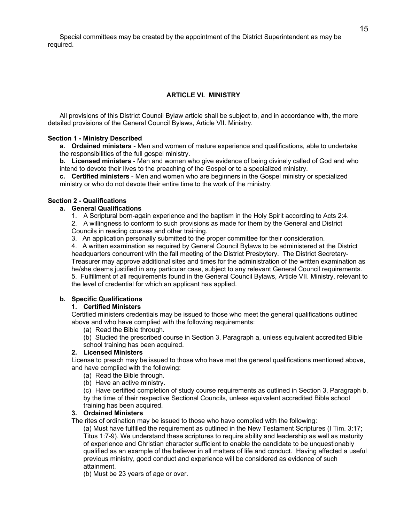Special committees may be created by the appointment of the District Superintendent as may be required.

# **ARTICLE VI. MINISTRY**

All provisions of this District Council Bylaw article shall be subject to, and in accordance with, the more detailed provisions of the General Council Bylaws, Article VII. Ministry.

## **Section 1 - Ministry Described**

**a. Ordained ministers** - Men and women of mature experience and qualifications, able to undertake the responsibilities of the full gospel ministry.

**b. Licensed ministers** - Men and women who give evidence of being divinely called of God and who intend to devote their lives to the preaching of the Gospel or to a specialized ministry.

**c. Certified ministers** - Men and women who are beginners in the Gospel ministry or specialized ministry or who do not devote their entire time to the work of the ministry.

## **Section 2 - Qualifications**

### **a. General Qualifications**

1. A Scriptural born-again experience and the baptism in the Holy Spirit according to Acts 2:4.

2. A willingness to conform to such provisions as made for them by the General and District Councils in reading courses and other training.

3. An application personally submitted to the proper committee for their consideration.

4. A written examination as required by General Council Bylaws to be administered at the District headquarters concurrent with the fall meeting of the District Presbytery. The District Secretary-Treasurer may approve additional sites and times for the administration of the written examination as he/she deems justified in any particular case, subject to any relevant General Council requirements. 5. Fulfillment of all requirements found in the General Council Bylaws, Article VII. Ministry, relevant to the level of credential for which an applicant has applied.

# **b. Specific Qualifications**

## **1. Certified Ministers**

Certified ministers credentials may be issued to those who meet the general qualifications outlined above and who have complied with the following requirements:

(a) Read the Bible through.

(b) Studied the prescribed course in Section 3, Paragraph a, unless equivalent accredited Bible school training has been acquired.

# **2. Licensed Ministers**

License to preach may be issued to those who have met the general qualifications mentioned above, and have complied with the following:

- (a) Read the Bible through.
- (b) Have an active ministry.

(c) Have certified completion of study course requirements as outlined in Section 3, Paragraph b, by the time of their respective Sectional Councils, unless equivalent accredited Bible school training has been acquired.

## **3. Ordained Ministers**

The rites of ordination may be issued to those who have complied with the following:

(a) Must have fulfilled the requirement as outlined in the New Testament Scriptures (I Tim. 3:17; Titus 1:7-9). We understand these scriptures to require ability and leadership as well as maturity of experience and Christian character sufficient to enable the candidate to be unquestionably qualified as an example of the believer in all matters of life and conduct. Having effected a useful previous ministry, good conduct and experience will be considered as evidence of such attainment.

(b) Must be 23 years of age or over.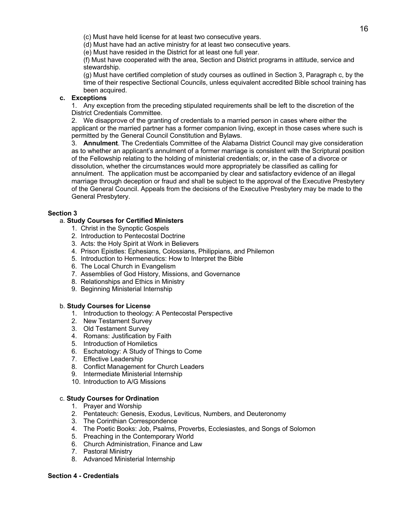(c) Must have held license for at least two consecutive years.

(d) Must have had an active ministry for at least two consecutive years.

(e) Must have resided in the District for at least one full year.

(f) Must have cooperated with the area, Section and District programs in attitude, service and stewardship.

(g) Must have certified completion of study courses as outlined in Section 3, Paragraph c, by the time of their respective Sectional Councils, unless equivalent accredited Bible school training has been acquired.

# **c. Exceptions**

1. Any exception from the preceding stipulated requirements shall be left to the discretion of the District Credentials Committee.

2. We disapprove of the granting of credentials to a married person in cases where either the applicant or the married partner has a former companion living, except in those cases where such is permitted by the General Council Constitution and Bylaws.

3. **Annulment**. The Credentials Committee of the Alabama District Council may give consideration as to whether an applicant's annulment of a former marriage is consistent with the Scriptural position of the Fellowship relating to the holding of ministerial credentials; or, in the case of a divorce or dissolution, whether the circumstances would more appropriately be classified as calling for annulment. The application must be accompanied by clear and satisfactory evidence of an illegal marriage through deception or fraud and shall be subject to the approval of the Executive Presbytery of the General Council. Appeals from the decisions of the Executive Presbytery may be made to the General Presbytery.

# **Section 3**

# a. **Study Courses for Certified Ministers**

- 1. Christ in the Synoptic Gospels
- 2. Introduction to Pentecostal Doctrine
- 3. Acts: the Holy Spirit at Work in Believers
- 4. Prison Epistles: Ephesians, Colossians, Philippians, and Philemon
- 5. Introduction to Hermeneutics: How to Interpret the Bible
- 6. The Local Church in Evangelism
- 7. Assemblies of God History, Missions, and Governance
- 8. Relationships and Ethics in Ministry
- 9. Beginning Ministerial Internship

## b. **Study Courses for License**

- 1. Introduction to theology: A Pentecostal Perspective
- 2. New Testament Survey
- 3. Old Testament Survey
- 4. Romans: Justification by Faith
- 5. Introduction of Homiletics
- 6. Eschatology: A Study of Things to Come
- 7. Effective Leadership
- 8. Conflict Management for Church Leaders
- 9. Intermediate Ministerial Internship
- 10. Introduction to A/G Missions

## c. **Study Courses for Ordination**

- 1. Prayer and Worship
- 2. Pentateuch: Genesis, Exodus, Leviticus, Numbers, and Deuteronomy
- 3. The Corinthian Correspondence
- 4. The Poetic Books: Job, Psalms, Proverbs, Ecclesiastes, and Songs of Solomon
- 5. Preaching in the Contemporary World
- 6. Church Administration, Finance and Law
- 7. Pastoral Ministry
- 8. Advanced Ministerial Internship

## **Section 4 - Credentials**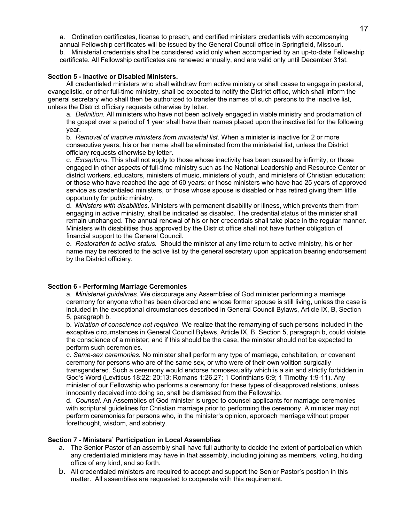a. Ordination certificates, license to preach, and certified ministers credentials with accompanying annual Fellowship certificates will be issued by the General Council office in Springfield, Missouri.

b. Ministerial credentials shall be considered valid only when accompanied by an up-to-date Fellowship certificate. All Fellowship certificates are renewed annually, and are valid only until December 31st.

## **Section 5 - Inactive or Disabled Ministers.**

All credentialed ministers who shall withdraw from active ministry or shall cease to engage in pastoral, evangelistic, or other full-time ministry, shall be expected to notify the District office, which shall inform the general secretary who shall then be authorized to transfer the names of such persons to the inactive list, unless the District officiary requests otherwise by letter.

a. *Definition.* All ministers who have not been actively engaged in viable ministry and proclamation of the gospel over a period of 1 year shall have their names placed upon the inactive list for the following year.

b. *Removal of inactive ministers from ministerial list.* When a minister is inactive for 2 or more consecutive years, his or her name shall be eliminated from the ministerial list, unless the District officiary requests otherwise by letter.

c. *Exceptions.* This shall not apply to those whose inactivity has been caused by infirmity; or those engaged in other aspects of full-time ministry such as the National Leadership and Resource Center or district workers, educators, ministers of music, ministers of youth, and ministers of Christian education; or those who have reached the age of 60 years; or those ministers who have had 25 years of approved service as credentialed ministers, or those whose spouse is disabled or has retired giving them little opportunity for public ministry.

d. *Ministers with disabilities.* Ministers with permanent disability or illness, which prevents them from engaging in active ministry, shall be indicated as disabled. The credential status of the minister shall remain unchanged. The annual renewal of his or her credentials shall take place in the regular manner. Ministers with disabilities thus approved by the District office shall not have further obligation of financial support to the General Council.

e. *Restoration to active status.* Should the minister at any time return to active ministry, his or her name may be restored to the active list by the general secretary upon application bearing endorsement by the District officiary.

## **Section 6 - Performing Marriage Ceremonies**

a. *Ministerial guidelines.* We discourage any Assemblies of God minister performing a marriage ceremony for anyone who has been divorced and whose former spouse is still living, unless the case is included in the exceptional circumstances described in General Council Bylaws, Article IX, B, Section 5, paragraph b.

b. *Violation of conscience not required*. We realize that the remarrying of such persons included in the exceptive circumstances in General Council Bylaws, Article IX, B, Section 5, paragraph b, could violate the conscience of a minister; and if this should be the case, the minister should not be expected to perform such ceremonies.

c. *Same-sex ceremonies.* No minister shall perform any type of marriage, cohabitation, or covenant ceremony for persons who are of the same sex, or who were of their own volition surgically transgendered. Such a ceremony would endorse homosexuality which is a sin and strictly forbidden in God's Word (Leviticus 18:22; 20:13; Romans 1:26,27; 1 Corinthians 6:9; 1 Timothy 1:9-11). Any minister of our Fellowship who performs a ceremony for these types of disapproved relations, unless innocently deceived into doing so, shall be dismissed from the Fellowship.

d. *Counsel.* An Assemblies of God minister is urged to counsel applicants for marriage ceremonies with scriptural guidelines for Christian marriage prior to performing the ceremony. A minister may not perform ceremonies for persons who, in the minister's opinion, approach marriage without proper forethought, wisdom, and sobriety.

## **Section 7 - Ministers' Participation in Local Assemblies**

- a. The Senior Pastor of an assembly shall have full authority to decide the extent of participation which any credentialed ministers may have in that assembly, including joining as members, voting, holding office of any kind, and so forth.
- b. All credentialed ministers are required to accept and support the Senior Pastor's position in this matter. All assemblies are requested to cooperate with this requirement.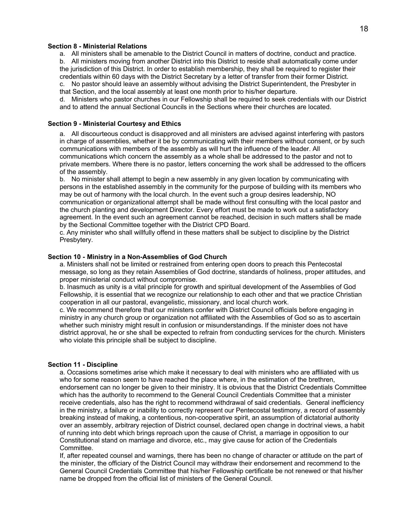#### **Section 8 - Ministerial Relations**

a. All ministers shall be amenable to the District Council in matters of doctrine, conduct and practice.

b. All ministers moving from another District into this District to reside shall automatically come under the jurisdiction of this District. In order to establish membership, they shall be required to register their credentials within 60 days with the District Secretary by a letter of transfer from their former District.

c. No pastor should leave an assembly without advising the District Superintendent, the Presbyter in that Section, and the local assembly at least one month prior to his/her departure.

d. Ministers who pastor churches in our Fellowship shall be required to seek credentials with our District and to attend the annual Sectional Councils in the Sections where their churches are located.

## **Section 9 - Ministerial Courtesy and Ethics**

a. All discourteous conduct is disapproved and all ministers are advised against interfering with pastors in charge of assemblies, whether it be by communicating with their members without consent, or by such communications with members of the assembly as will hurt the influence of the leader. All communications which concern the assembly as a whole shall be addressed to the pastor and not to private members. Where there is no pastor, letters concerning the work shall be addressed to the officers of the assembly.

b. No minister shall attempt to begin a new assembly in any given location by communicating with persons in the established assembly in the community for the purpose of building with its members who may be out of harmony with the local church. In the event such a group desires leadership, NO communication or organizational attempt shall be made without first consulting with the local pastor and the church planting and development Director. Every effort must be made to work out a satisfactory agreement. In the event such an agreement cannot be reached, decision in such matters shall be made by the Sectional Committee together with the District CPD Board.

c. Any minister who shall willfully offend in these matters shall be subject to discipline by the District Presbytery.

# **Section 10 - Ministry in a Non-Assemblies of God Church**

a. Ministers shall not be limited or restrained from entering open doors to preach this Pentecostal message, so long as they retain Assemblies of God doctrine, standards of holiness, proper attitudes, and proper ministerial conduct without compromise.

b. Inasmuch as unity is a vital principle for growth and spiritual development of the Assemblies of God Fellowship, it is essential that we recognize our relationship to each other and that we practice Christian cooperation in all our pastoral, evangelistic, missionary, and local church work.

c. We recommend therefore that our ministers confer with District Council officials before engaging in ministry in any church group or organization not affiliated with the Assemblies of God so as to ascertain whether such ministry might result in confusion or misunderstandings. If the minister does not have district approval, he or she shall be expected to refrain from conducting services for the church. Ministers who violate this principle shall be subject to discipline.

#### **Section 11 - Discipline**

a. Occasions sometimes arise which make it necessary to deal with ministers who are affiliated with us who for some reason seem to have reached the place where, in the estimation of the brethren, endorsement can no longer be given to their ministry. It is obvious that the District Credentials Committee which has the authority to recommend to the General Council Credentials Committee that a minister receive credentials, also has the right to recommend withdrawal of said credentials. General inefficiency in the ministry, a failure or inability to correctly represent our Pentecostal testimony, a record of assembly breaking instead of making, a contentious, non-cooperative spirit, an assumption of dictatorial authority over an assembly, arbitrary rejection of District counsel, declared open change in doctrinal views, a habit of running into debt which brings reproach upon the cause of Christ, a marriage in opposition to our Constitutional stand on marriage and divorce, etc., may give cause for action of the Credentials Committee.

If, after repeated counsel and warnings, there has been no change of character or attitude on the part of the minister, the officiary of the District Council may withdraw their endorsement and recommend to the General Council Credentials Committee that his/her Fellowship certificate be not renewed or that his/her name be dropped from the official list of ministers of the General Council.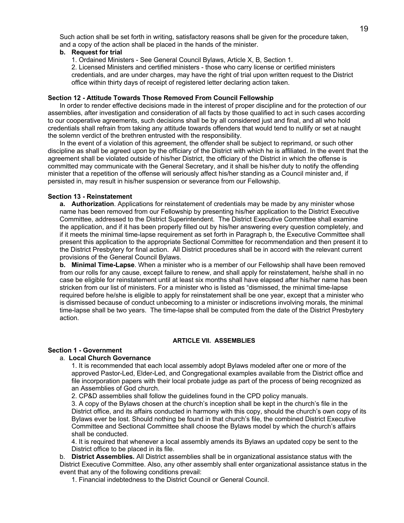Such action shall be set forth in writing, satisfactory reasons shall be given for the procedure taken, and a copy of the action shall be placed in the hands of the minister.

### **b. Request for trial**

1. Ordained Ministers - See General Council Bylaws, Article X, B, Section 1.

2. Licensed Ministers and certified ministers - those who carry license or certified ministers credentials, and are under charges, may have the right of trial upon written request to the District office within thirty days of receipt of registered letter declaring action taken.

## **Section 12 - Attitude Towards Those Removed From Council Fellowship**

In order to render effective decisions made in the interest of proper discipline and for the protection of our assemblies, after investigation and consideration of all facts by those qualified to act in such cases according to our cooperative agreements, such decisions shall be by all considered just and final, and all who hold credentials shall refrain from taking any attitude towards offenders that would tend to nullify or set at naught the solemn verdict of the brethren entrusted with the responsibility.

In the event of a violation of this agreement, the offender shall be subject to reprimand, or such other discipline as shall be agreed upon by the officiary of the District with which he is affiliated. In the event that the agreement shall be violated outside of his/her District, the officiary of the District in which the offense is committed may communicate with the General Secretary, and it shall be his/her duty to notify the offending minister that a repetition of the offense will seriously affect his/her standing as a Council minister and, if persisted in, may result in his/her suspension or severance from our Fellowship.

### **Section 13 - Reinstatement**

**a. Authorization**. Applications for reinstatement of credentials may be made by any minister whose name has been removed from our Fellowship by presenting his/her application to the District Executive Committee, addressed to the District Superintendent. The District Executive Committee shall examine the application, and if it has been properly filled out by his/her answering every question completely, and if it meets the minimal time-lapse requirement as set forth in Paragraph b, the Executive Committee shall present this application to the appropriate Sectional Committee for recommendation and then present it to the District Presbytery for final action. All District procedures shall be in accord with the relevant current provisions of the General Council Bylaws.

**b. Minimal Time-Lapse**. When a minister who is a member of our Fellowship shall have been removed from our rolls for any cause, except failure to renew, and shall apply for reinstatement, he/she shall in no case be eligible for reinstatement until at least six months shall have elapsed after his/her name has been stricken from our list of ministers. For a minister who is listed as "dismissed, the minimal time-lapse required before he/she is eligible to apply for reinstatement shall be one year, except that a minister who is dismissed because of conduct unbecoming to a minister or indiscretions involving morals, the minimal time-lapse shall be two years. The time-lapse shall be computed from the date of the District Presbytery action.

#### **ARTICLE VII. ASSEMBLIES**

#### **Section 1 - Government**

#### a. **Local Church Governance**

1. It is recommended that each local assembly adopt Bylaws modeled after one or more of the approved Pastor-Led, Elder-Led, and Congregational examples available from the District office and file incorporation papers with their local probate judge as part of the process of being recognized as an Assemblies of God church.

2. CP&D assemblies shall follow the guidelines found in the CPD policy manuals.

3. A copy of the Bylaws chosen at the church's inception shall be kept in the church's file in the District office, and its affairs conducted in harmony with this copy, should the church's own copy of its Bylaws ever be lost. Should nothing be found in that church's file, the combined District Executive Committee and Sectional Committee shall choose the Bylaws model by which the church's affairs shall be conducted.

4. It is required that whenever a local assembly amends its Bylaws an updated copy be sent to the District office to be placed in its file.

b. **District Assemblies.** All District assemblies shall be in organizational assistance status with the District Executive Committee. Also, any other assembly shall enter organizational assistance status in the event that any of the following conditions prevail:

1. Financial indebtedness to the District Council or General Council.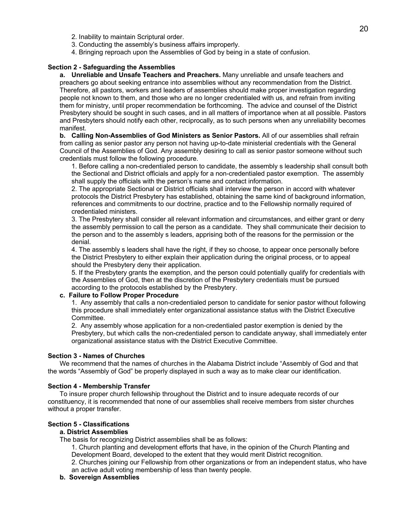- 2. Inability to maintain Scriptural order.
- 3. Conducting the assembly's business affairs improperly.
- 4. Bringing reproach upon the Assemblies of God by being in a state of confusion.

### **Section 2 - Safeguarding the Assemblies**

**a. Unreliable and Unsafe Teachers and Preachers.** Many unreliable and unsafe teachers and preachers go about seeking entrance into assemblies without any recommendation from the District. Therefore, all pastors, workers and leaders of assemblies should make proper investigation regarding people not known to them, and those who are no longer credentialed with us, and refrain from inviting them for ministry, until proper recommendation be forthcoming. The advice and counsel of the District Presbytery should be sought in such cases, and in all matters of importance when at all possible. Pastors and Presbyters should notify each other, reciprocally, as to such persons when any unreliability becomes manifest.

**b. Calling Non-Assemblies of God Ministers as Senior Pastors.** All of our assemblies shall refrain from calling as senior pastor any person not having up-to-date ministerial credentials with the General Council of the Assemblies of God. Any assembly desiring to call as senior pastor someone without such credentials must follow the following procedure.

1. Before calling a non-credentialed person to candidate, the assembly s leadership shall consult both the Sectional and District officials and apply for a non-credentialed pastor exemption. The assembly shall supply the officials with the person's name and contact information.

2. The appropriate Sectional or District officials shall interview the person in accord with whatever protocols the District Presbytery has established, obtaining the same kind of background information, references and commitments to our doctrine, practice and to the Fellowship normally required of credentialed ministers.

3. The Presbytery shall consider all relevant information and circumstances, and either grant or deny the assembly permission to call the person as a candidate. They shall communicate their decision to the person and to the assembly s leaders, apprising both of the reasons for the permission or the denial.

4. The assembly s leaders shall have the right, if they so choose, to appear once personally before the District Presbytery to either explain their application during the original process, or to appeal should the Presbytery deny their application.

5. If the Presbytery grants the exemption, and the person could potentially qualify for credentials with the Assemblies of God, then at the discretion of the Presbytery credentials must be pursued according to the protocols established by the Presbytery.

#### **c. Failure to Follow Proper Procedure**

1. Any assembly that calls a non-credentialed person to candidate for senior pastor without following this procedure shall immediately enter organizational assistance status with the District Executive Committee.

2. Any assembly whose application for a non-credentialed pastor exemption is denied by the Presbytery, but which calls the non-credentialed person to candidate anyway, shall immediately enter organizational assistance status with the District Executive Committee.

## **Section 3 - Names of Churches**

We recommend that the names of churches in the Alabama District include "Assembly of God and that the words "Assembly of God" be properly displayed in such a way as to make clear our identification.

#### **Section 4 - Membership Transfer**

To insure proper church fellowship throughout the District and to insure adequate records of our constituency, it is recommended that none of our assemblies shall receive members from sister churches without a proper transfer.

## **Section 5 - Classifications**

## **a. District Assemblies**

The basis for recognizing District assemblies shall be as follows:

1. Church planting and development efforts that have, in the opinion of the Church Planting and Development Board, developed to the extent that they would merit District recognition.

2. Churches joining our Fellowship from other organizations or from an independent status, who have an active adult voting membership of less than twenty people.

#### **b. Sovereign Assemblies**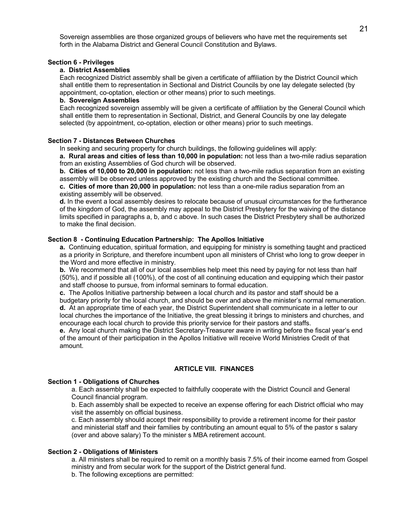Sovereign assemblies are those organized groups of believers who have met the requirements set forth in the Alabama District and General Council Constitution and Bylaws.

## **Section 6 - Privileges**

# **a. District Assemblies**

Each recognized District assembly shall be given a certificate of affiliation by the District Council which shall entitle them to representation in Sectional and District Councils by one lay delegate selected (by appointment, co-optation, election or other means) prior to such meetings.

### **b. Sovereign Assemblies**

Each recognized sovereign assembly will be given a certificate of affiliation by the General Council which shall entitle them to representation in Sectional, District, and General Councils by one lay delegate selected (by appointment, co-optation, election or other means) prior to such meetings.

### **Section 7 - Distances Between Churches**

In seeking and securing property for church buildings, the following guidelines will apply:

**a. Rural areas and cities of less than 10,000 in population:** not less than a two-mile radius separation from an existing Assemblies of God church will be observed.

**b. Cities of 10,000 to 20,000 in population:** not less than a two-mile radius separation from an existing assembly will be observed unless approved by the existing church and the Sectional committee.

**c. Cities of more than 20,000 in population:** not less than a one-mile radius separation from an existing assembly will be observed.

**d.** In the event a local assembly desires to relocate because of unusual circumstances for the furtherance of the kingdom of God, the assembly may appeal to the District Presbytery for the waiving of the distance limits specified in paragraphs a, b, and c above. In such cases the District Presbytery shall be authorized to make the final decision.

# **Section 8 - Continuing Education Partnership: The Apollos Initiative**

**a.** Continuing education, spiritual formation, and equipping for ministry is something taught and practiced as a priority in Scripture, and therefore incumbent upon all ministers of Christ who long to grow deeper in the Word and more effective in ministry.

**b.** We recommend that all of our local assemblies help meet this need by paying for not less than half (50%), and if possible all (100%), of the cost of all continuing education and equipping which their pastor and staff choose to pursue, from informal seminars to formal education.

**c.** The Apollos Initiative partnership between a local church and its pastor and staff should be a budgetary priority for the local church, and should be over and above the minister's normal remuneration. **d.** At an appropriate time of each year, the District Superintendent shall communicate in a letter to our local churches the importance of the Initiative, the great blessing it brings to ministers and churches, and encourage each local church to provide this priority service for their pastors and staffs.

**e.** Any local church making the District Secretary-Treasurer aware in writing before the fiscal year's end of the amount of their participation in the Apollos Initiative will receive World Ministries Credit of that amount.

## **ARTICLE VIII. FINANCES**

## **Section 1 - Obligations of Churches**

a. Each assembly shall be expected to faithfully cooperate with the District Council and General Council financial program.

b. Each assembly shall be expected to receive an expense offering for each District official who may visit the assembly on official business.

c. Each assembly should accept their responsibility to provide a retirement income for their pastor and ministerial staff and their families by contributing an amount equal to 5% of the pastor s salary (over and above salary) To the minister s MBA retirement account.

## **Section 2 - Obligations of Ministers**

a. All ministers shall be required to remit on a monthly basis 7.5% of their income earned from Gospel ministry and from secular work for the support of the District general fund.

b. The following exceptions are permitted: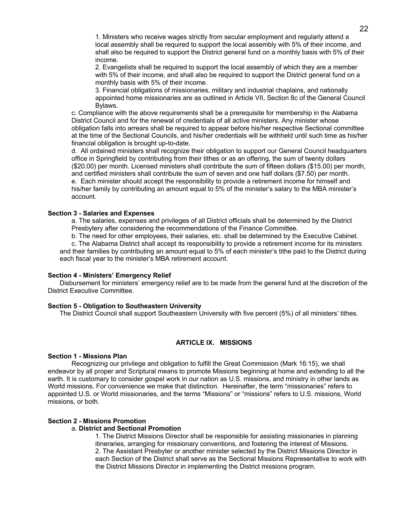1. Ministers who receive wages strictly from secular employment and regularly attend a local assembly shall be required to support the local assembly with 5% of their income, and shall also be required to support the District general fund on a monthly basis with 5% of their income.

2. Evangelists shall be required to support the local assembly of which they are a member with 5% of their income, and shall also be required to support the District general fund on a monthly basis with 5% of their income.

3. Financial obligations of missionaries, military and industrial chaplains, and nationally appointed home missionaries are as outlined in Article VII, Section 8c of the General Council Bylaws.

c. Compliance with the above requirements shall be a prerequisite for membership in the Alabama District Council and for the renewal of credentials of all active ministers. Any minister whose obligation falls into arrears shall be required to appear before his/her respective Sectional committee at the time of the Sectional Councils, and his/her credentials will be withheld until such time as his/her financial obligation is brought up-to-date.

d. All ordained ministers shall recognize their obligation to support our General Council headquarters office in Springfield by contributing from their tithes or as an offering, the sum of twenty dollars (\$20.00) per month. Licensed ministers shall contribute the sum of fifteen dollars (\$15.00) per month, and certified ministers shall contribute the sum of seven and one half dollars (\$7.50) per month. e. Each minister should accept the responsibility to provide a retirement income for himself and his/her family by contributing an amount equal to 5% of the minister's salary to the MBA minister's account.

### **Section 3 - Salaries and Expenses**

a. The salaries, expenses and privileges of all District officials shall be determined by the District Presbytery after considering the recommendations of the Finance Committee.

b. The need for other employees, their salaries, etc. shall be determined by the Executive Cabinet.

c. The Alabama District shall accept its responsibility to provide a retirement income for its ministers and their families by contributing an amount equal to 5% of each minister's tithe paid to the District during each fiscal year to the minister's MBA retirement account.

#### **Section 4 - Ministers' Emergency Relief**

Disbursement for ministers' emergency relief are to be made from the general fund at the discretion of the District Executive Committee.

## **Section 5 - Obligation to Southeastern University**

The District Council shall support Southeastern University with five percent (5%) of all ministers' tithes.

# **ARTICLE IX. MISSIONS**

## **Section 1 - Missions Plan**

Recognizing our privilege and obligation to fulfill the Great Commission (Mark 16:15), we shall endeavor by all proper and Scriptural means to promote Missions beginning at home and extending to all the earth. It is customary to consider gospel work in our nation as U.S. missions, and ministry in other lands as World missions. For convenience we make that distinction. Hereinafter, the term "missionaries" refers to appointed U.S. or World missionaries, and the terms "Missions" or "missions" refers to U.S. missions, World missions, or both.

### **Section 2 - Missions Promotion**

### a. **District and Sectional Promotion**

1. The District Missions Director shall be responsible for assisting missionaries in planning itineraries, arranging for missionary conventions, and fostering the interest of Missions. 2. The Assistant Presbyter or another minister selected by the District Missions Director in each Section of the District shall serve as the Sectional Missions Representative to work with the District Missions Director in implementing the District missions program.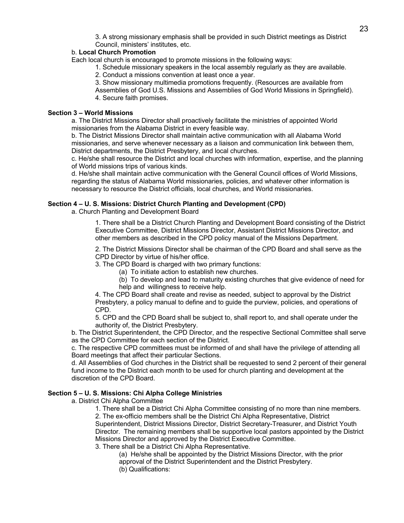3. A strong missionary emphasis shall be provided in such District meetings as District Council, ministers' institutes, etc.

# b. **Local Church Promotion**

Each local church is encouraged to promote missions in the following ways:

- 1. Schedule missionary speakers in the local assembly regularly as they are available.
- 2. Conduct a missions convention at least once a year.
- 3. Show missionary multimedia promotions frequently. (Resources are available from
- Assemblies of God U.S. Missions and Assemblies of God World Missions in Springfield). 4. Secure faith promises.

### **Section 3 – World Missions**

a. The District Missions Director shall proactively facilitate the ministries of appointed World missionaries from the Alabama District in every feasible way.

b. The District Missions Director shall maintain active communication with all Alabama World missionaries, and serve whenever necessary as a liaison and communication link between them, District departments, the District Presbytery, and local churches.

c. He/she shall resource the District and local churches with information, expertise, and the planning of World missions trips of various kinds.

d. He/she shall maintain active communication with the General Council offices of World Missions, regarding the status of Alabama World missionaries, policies, and whatever other information is necessary to resource the District officials, local churches, and World missionaries.

### **Section 4 – U. S. Missions: District Church Planting and Development (CPD)**

a. Church Planting and Development Board

1. There shall be a District Church Planting and Development Board consisting of the District Executive Committee, District Missions Director, Assistant District Missions Director, and other members as described in the CPD policy manual of the Missions Department.

2. The District Missions Director shall be chairman of the CPD Board and shall serve as the CPD Director by virtue of his/her office.

3. The CPD Board is charged with two primary functions:

- (a) To initiate action to establish new churches.
- (b) To develop and lead to maturity existing churches that give evidence of need for help and willingness to receive help.

4. The CPD Board shall create and revise as needed, subject to approval by the District Presbytery, a policy manual to define and to guide the purview, policies, and operations of CPD.

5. CPD and the CPD Board shall be subject to, shall report to, and shall operate under the authority of, the District Presbytery.

b. The District Superintendent, the CPD Director, and the respective Sectional Committee shall serve as the CPD Committee for each section of the District.

c. The respective CPD committees must be informed of and shall have the privilege of attending all Board meetings that affect their particular Sections.

d. All Assemblies of God churches in the District shall be requested to send 2 percent of their general fund income to the District each month to be used for church planting and development at the discretion of the CPD Board.

## **Section 5 – U. S. Missions: Chi Alpha College Ministries**

a. District Chi Alpha Committee

1. There shall be a District Chi Alpha Committee consisting of no more than nine members. 2. The ex-officio members shall be the District Chi Alpha Representative, District Superintendent, District Missions Director, District Secretary-Treasurer, and District Youth Director. The remaining members shall be supportive local pastors appointed by the District Missions Director and approved by the District Executive Committee.

3. There shall be a District Chi Alpha Representative.

(a) He/she shall be appointed by the District Missions Director, with the prior approval of the District Superintendent and the District Presbytery. (b) Qualifications: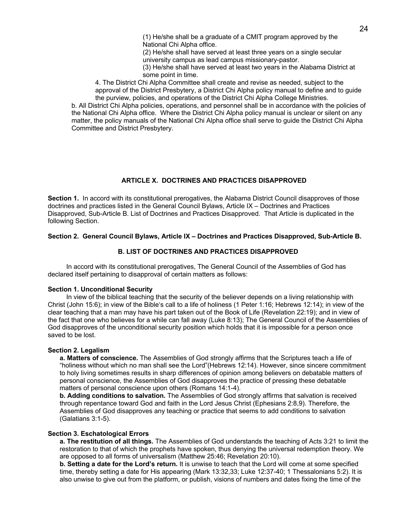(2) He/she shall have served at least three years on a single secular university campus as lead campus missionary-pastor.

(3) He/she shall have served at least two years in the Alabama District at some point in time.

4. The District Chi Alpha Committee shall create and revise as needed, subject to the approval of the District Presbytery, a District Chi Alpha policy manual to define and to guide the purview, policies, and operations of the District Chi Alpha College Ministries.

b. All District Chi Alpha policies, operations, and personnel shall be in accordance with the policies of the National Chi Alpha office. Where the District Chi Alpha policy manual is unclear or silent on any matter, the policy manuals of the National Chi Alpha office shall serve to guide the District Chi Alpha Committee and District Presbytery.

# **ARTICLE X. DOCTRINES AND PRACTICES DISAPPROVED**

**Section 1.** In accord with its constitutional prerogatives, the Alabama District Council disapproves of those doctrines and practices listed in the General Council Bylaws, Article IX – Doctrines and Practices Disapproved, Sub-Article B. List of Doctrines and Practices Disapproved. That Article is duplicated in the following Section.

# **Section 2. General Council Bylaws, Article IX – Doctrines and Practices Disapproved, Sub-Article B.**

# **B. LIST OF DOCTRINES AND PRACTICES DISAPPROVED**

In accord with its constitutional prerogatives, The General Council of the Assemblies of God has declared itself pertaining to disapproval of certain matters as follows:

## **Section 1. Unconditional Security**

In view of the biblical teaching that the security of the believer depends on a living relationship with Christ (John 15:6); in view of the Bible's call to a life of holiness (1 Peter 1:16; Hebrews 12:14); in view of the clear teaching that a man may have his part taken out of the Book of Life (Revelation 22:19); and in view of the fact that one who believes for a while can fall away (Luke 8:13); The General Council of the Assemblies of God disapproves of the unconditional security position which holds that it is impossible for a person once saved to be lost.

## **Section 2. Legalism**

**a. Matters of conscience.** The Assemblies of God strongly affirms that the Scriptures teach a life of "holiness without which no man shall see the Lord"(Hebrews 12:14). However, since sincere commitment to holy living sometimes results in sharp differences of opinion among believers on debatable matters of personal conscience, the Assemblies of God disapproves the practice of pressing these debatable matters of personal conscience upon others (Romans 14:1-4).

**b. Adding conditions to salvation.** The Assemblies of God strongly affirms that salvation is received through repentance toward God and faith in the Lord Jesus Christ (Ephesians 2:8,9). Therefore, the Assemblies of God disapproves any teaching or practice that seems to add conditions to salvation (Galatians 3:1-5).

# **Section 3. Eschatological Errors**

**a. The restitution of all things.** The Assemblies of God understands the teaching of Acts 3:21 to limit the restoration to that of which the prophets have spoken, thus denying the universal redemption theory. We are opposed to all forms of universalism (Matthew 25:46; Revelation 20:10).

**b. Setting a date for the Lord's return.** It is unwise to teach that the Lord will come at some specified time, thereby setting a date for His appearing (Mark 13:32,33; Luke 12:37-40; 1 Thessalonians 5:2). It is also unwise to give out from the platform, or publish, visions of numbers and dates fixing the time of the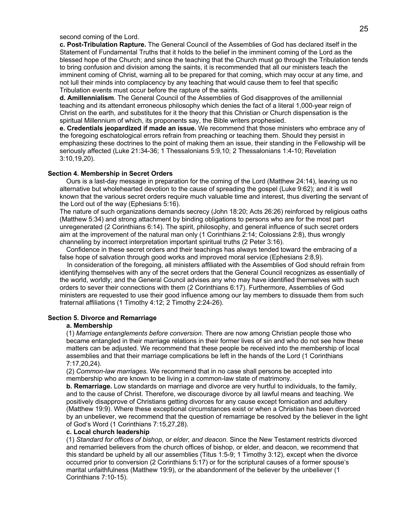## second coming of the Lord.

**c. Post-Tribulation Rapture.** The General Council of the Assemblies of God has declared itself in the Statement of Fundamental Truths that it holds to the belief in the imminent coming of the Lord as the blessed hope of the Church; and since the teaching that the Church must go through the Tribulation tends to bring confusion and division among the saints, it is recommended that all our ministers teach the imminent coming of Christ, warning all to be prepared for that coming, which may occur at any time, and not lull their minds into complacency by any teaching that would cause them to feel that specific Tribulation events must occur before the rapture of the saints.

**d. Amillennialism**. The General Council of the Assemblies of God disapproves of the amillennial teaching and its attendant erroneous philosophy which denies the fact of a literal 1,000-year reign of Christ on the earth, and substitutes for it the theory that this Christian or Church dispensation is the spiritual Millennium of which, its proponents say, the Bible writers prophesied.

**e. Credentials jeopardized if made an issue.** We recommend that those ministers who embrace any of the foregoing eschatological errors refrain from preaching or teaching them. Should they persist in emphasizing these doctrines to the point of making them an issue, their standing in the Fellowship will be seriously affected (Luke 21:34-36; 1 Thessalonians 5:9,10; 2 Thessalonians 1:4-10; Revelation 3:10,19,20).

#### **Section 4. Membership in Secret Orders**

Ours is a last-day message in preparation for the coming of the Lord (Matthew 24:14), leaving us no alternative but wholehearted devotion to the cause of spreading the gospel (Luke 9:62); and it is well known that the various secret orders require much valuable time and interest, thus diverting the servant of the Lord out of the way (Ephesians 5:16).

The nature of such organizations demands secrecy (John 18:20; Acts 26:26) reinforced by religious oaths (Matthew 5:34) and strong attachment by binding obligations to persons who are for the most part unregenerated (2 Corinthians 6:14). The spirit, philosophy, and general influence of such secret orders aim at the improvement of the natural man only (1 Corinthians 2:14; Colossians 2:8), thus wrongly channeling by incorrect interpretation important spiritual truths (2 Peter 3:16).

Confidence in these secret orders and their teachings has always tended toward the embracing of a false hope of salvation through good works and improved moral service (Ephesians 2:8,9).

 In consideration of the foregoing, all ministers affiliated with the Assemblies of God should refrain from identifying themselves with any of the secret orders that the General Council recognizes as essentially of the world, worldly; and the General Council advises any who may have identified themselves with such orders to sever their connections with them (2 Corinthians 6:17). Furthermore, Assemblies of God ministers are requested to use their good influence among our lay members to dissuade them from such fraternal affiliations (1 Timothy 4:12; 2 Timothy 2:24-26).

# **Section 5. Divorce and Remarriage**

#### **a. Membership**

(1) *Marriage entanglements before conversion.* There are now among Christian people those who became entangled in their marriage relations in their former lives of sin and who do not see how these matters can be adjusted. We recommend that these people be received into the membership of local assemblies and that their marriage complications be left in the hands of the Lord (1 Corinthians 7:17,20,24).

(2) *Common-law marriages.* We recommend that in no case shall persons be accepted into membership who are known to be living in a common-law state of matrimony.

**b. Remarriage.** Low standards on marriage and divorce are very hurtful to individuals, to the family, and to the cause of Christ. Therefore, we discourage divorce by all lawful means and teaching. We positively disapprove of Christians getting divorces for any cause except fornication and adultery (Matthew 19:9). Where these exceptional circumstances exist or when a Christian has been divorced by an unbeliever, we recommend that the question of remarriage be resolved by the believer in the light of God's Word (1 Corinthians 7:15,27,28).

#### **c. Local church leadership**

(1) *Standard for offices of bishop, or elder, and deacon*. Since the New Testament restricts divorced and remarried believers from the church offices of bishop, or elder, and deacon, we recommend that this standard be upheld by all our assemblies (Titus 1:5-9; 1 Timothy 3:12), except when the divorce occurred prior to conversion (2 Corinthians 5:17) or for the scriptural causes of a former spouse's marital unfaithfulness (Matthew 19:9), or the abandonment of the believer by the unbeliever (1 Corinthians 7:10-15).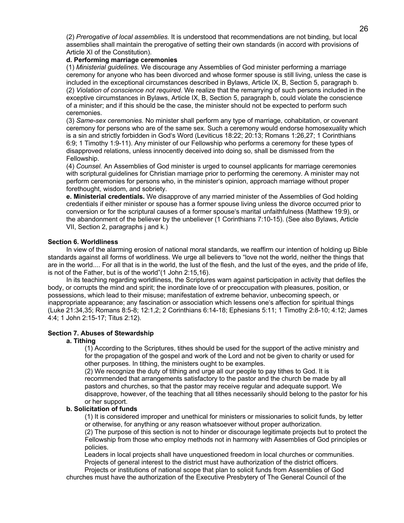(2) *Prerogative of local assemblies.* It is understood that recommendations are not binding, but local assemblies shall maintain the prerogative of setting their own standards (in accord with provisions of Article XI of the Constitution).

## **d. Performing marriage ceremonies**

(1) *Ministerial guidelines.* We discourage any Assemblies of God minister performing a marriage ceremony for anyone who has been divorced and whose former spouse is still living, unless the case is included in the exceptional circumstances described in Bylaws, Article IX, B, Section 5, paragraph b. (2) *Violation of conscience not required*. We realize that the remarrying of such persons included in the exceptive circumstances in Bylaws, Article IX, B, Section 5, paragraph b, could violate the conscience of a minister; and if this should be the case, the minister should not be expected to perform such ceremonies.

(3) *Same-sex ceremonies.* No minister shall perform any type of marriage, cohabitation, or covenant ceremony for persons who are of the same sex. Such a ceremony would endorse homosexuality which is a sin and strictly forbidden in God's Word (Leviticus 18:22; 20:13; Romans 1:26,27; 1 Corinthians 6:9; 1 Timothy 1:9-11). Any minister of our Fellowship who performs a ceremony for these types of disapproved relations, unless innocently deceived into doing so, shall be dismissed from the Fellowship.

(4) *Counsel.* An Assemblies of God minister is urged to counsel applicants for marriage ceremonies with scriptural guidelines for Christian marriage prior to performing the ceremony. A minister may not perform ceremonies for persons who, in the minister's opinion, approach marriage without proper forethought, wisdom, and sobriety.

**e. Ministerial credentials.** We disapprove of any married minister of the Assemblies of God holding credentials if either minister or spouse has a former spouse living unless the divorce occurred prior to conversion or for the scriptural causes of a former spouse's marital unfaithfulness (Matthew 19:9), or the abandonment of the believer by the unbeliever (1 Corinthians 7:10-15). (See also Bylaws, Article VII, Section 2, paragraphs j and k.)

## **Section 6. Worldliness**

In view of the alarming erosion of national moral standards, we reaffirm our intention of holding up Bible standards against all forms of worldliness. We urge all believers to "love not the world, neither the things that are in the world.... For all that is in the world, the lust of the flesh, and the lust of the eyes, and the pride of life, is not of the Father, but is of the world"(1 John 2:15,16).

In its teaching regarding worldliness, the Scriptures warn against participation in activity that defiles the body, or corrupts the mind and spirit; the inordinate love of or preoccupation with pleasures, position, or possessions, which lead to their misuse; manifestation of extreme behavior, unbecoming speech, or inappropriate appearance; any fascination or association which lessens one's affection for spiritual things (Luke 21:34,35; Romans 8:5-8; 12:1,2; 2 Corinthians 6:14-18; Ephesians 5:11; 1 Timothy 2:8-10; 4:12; James 4:4; 1 John 2:15-17; Titus 2:12).

## **Section 7. Abuses of Stewardship**

### **a. Tithing**

(1) According to the Scriptures, tithes should be used for the support of the active ministry and for the propagation of the gospel and work of the Lord and not be given to charity or used for other purposes. In tithing, the ministers ought to be examples.

(2) We recognize the duty of tithing and urge all our people to pay tithes to God. It is recommended that arrangements satisfactory to the pastor and the church be made by all pastors and churches, so that the pastor may receive regular and adequate support. We disapprove, however, of the teaching that all tithes necessarily should belong to the pastor for his or her support.

#### **b. Solicitation of funds**

(1) It is considered improper and unethical for ministers or missionaries to solicit funds, by letter or otherwise, for anything or any reason whatsoever without proper authorization.

(2) The purpose of this section is not to hinder or discourage legitimate projects but to protect the Fellowship from those who employ methods not in harmony with Assemblies of God principles or policies.

 Leaders in local projects shall have unquestioned freedom in local churches or communities. Projects of general interest to the district must have authorization of the district officers.

 Projects or institutions of national scope that plan to solicit funds from Assemblies of God churches must have the authorization of the Executive Presbytery of The General Council of the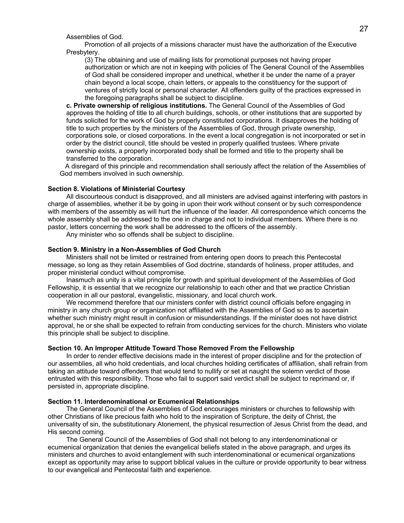Assemblies of God.

 Promotion of all projects of a missions character must have the authorization of the Executive Presbytery.

(3) The obtaining and use of mailing lists for promotional purposes not having proper authorization or which are not in keeping with policies of The General Council of the Assemblies of God shall be considered improper and unethical, whether it be under the name of a prayer chain beyond a local scope, chain letters, or appeals to the constituency for the support of ventures of strictly local or personal character. All offenders guilty of the practices expressed in the foregoing paragraphs shall be subject to discipline.

**c. Private ownership of religious institutions.** The General Council of the Assemblies of God approves the holding of title to all church buildings, schools, or other institutions that are supported by funds solicited for the work of God by properly constituted corporations. It disapproves the holding of title to such properties by the ministers of the Assemblies of God, through private ownership, corporations sole, or closed corporations. In the event a local congregation is not incorporated or set in order by the district council, title should be vested in properly qualified trustees. Where private ownership exists, a properly incorporated body shall be formed and title to the property shall be transferred to the corporation.

 A disregard of this principle and recommendation shall seriously affect the relation of the Assemblies of God members involved in such ownership.

## **Section 8. Violations of Ministerial Courtesy**

All discourteous conduct is disapproved, and all ministers are advised against interfering with pastors in charge of assemblies, whether it be by going in upon their work without consent or by such correspondence with members of the assembly as will hurt the influence of the leader. All correspondence which concerns the whole assembly shall be addressed to the one in charge and not to individual members. Where there is no pastor, letters concerning the work shall be addressed to the officers of the assembly.

Any minister who so offends shall be subject to discipline.

#### **Section 9. Ministry in a Non-Assemblies of God Church**

Ministers shall not be limited or restrained from entering open doors to preach this Pentecostal message, so long as they retain Assemblies of God doctrine, standards of holiness, proper attitudes, and proper ministerial conduct without compromise.

Inasmuch as unity is a vital principle for growth and spiritual development of the Assemblies of God Fellowship, it is essential that we recognize our relationship to each other and that we practice Christian cooperation in all our pastoral, evangelistic, missionary, and local church work.

We recommend therefore that our ministers confer with district council officials before engaging in ministry in any church group or organization not affiliated with the Assemblies of God so as to ascertain whether such ministry might result in confusion or misunderstandings. If the minister does not have district approval, he or she shall be expected to refrain from conducting services for the church. Ministers who violate this principle shall be subject to discipline.

### **Section 10. An Improper Attitude Toward Those Removed From the Fellowship**

In order to render effective decisions made in the interest of proper discipline and for the protection of our assemblies, all who hold credentials, and local churches holding certificates of affiliation, shall refrain from taking an attitude toward offenders that would tend to nullify or set at naught the solemn verdict of those entrusted with this responsibility. Those who fail to support said verdict shall be subject to reprimand or, if persisted in, appropriate discipline.

#### **Section 11. Interdenominational or Ecumenical Relationships**

The General Council of the Assemblies of God encourages ministers or churches to fellowship with other Christians of like precious faith who hold to the inspiration of Scripture, the deity of Christ, the universality of sin, the substitutionary Atonement, the physical resurrection of Jesus Christ from the dead, and His second coming.

The General Council of the Assemblies of God shall not belong to any interdenominational or ecumenical organization that denies the evangelical beliefs stated in the above paragraph, and urges its ministers and churches to avoid entanglement with such interdenominational or ecumenical organizations except as opportunity may arise to support biblical values in the culture or provide opportunity to bear witness to our evangelical and Pentecostal faith and experience.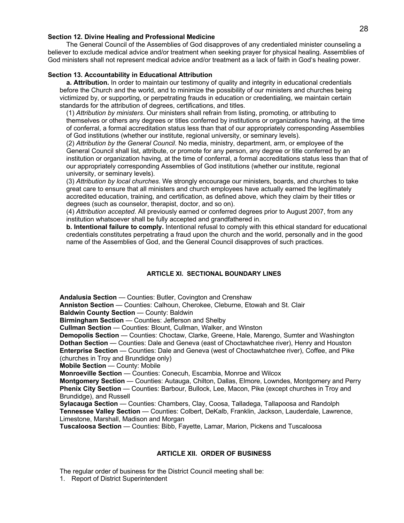## **Section 12. Divine Healing and Professional Medicine**

The General Council of the Assemblies of God disapproves of any credentialed minister counseling a believer to exclude medical advice and/or treatment when seeking prayer for physical healing. Assemblies of God ministers shall not represent medical advice and/or treatment as a lack of faith in God's healing power.

## **Section 13. Accountability in Educational Attribution**

**a. Attribution.** In order to maintain our testimony of quality and integrity in educational credentials before the Church and the world, and to minimize the possibility of our ministers and churches being victimized by, or supporting, or perpetrating frauds in education or credentialing, we maintain certain standards for the attribution of degrees, certifications, and titles.

(1) *Attribution by ministers*. Our ministers shall refrain from listing, promoting, or attributing to themselves or others any degrees or titles conferred by institutions or organizations having, at the time of conferral, a formal accreditation status less than that of our appropriately corresponding Assemblies of God institutions (whether our institute, regional university, or seminary levels).

(2) *Attribution by the General Council*. No media, ministry, department, arm, or employee of the General Council shall list, attribute, or promote for any person, any degree or title conferred by an institution or organization having, at the time of conferral, a formal accreditations status less than that of our appropriately corresponding Assemblies of God institutions (whether our institute, regional university, or seminary levels).

(3) *Attribution by local churches*. We strongly encourage our ministers, boards, and churches to take great care to ensure that all ministers and church employees have actually earned the legitimately accredited education, training, and certification, as defined above, which they claim by their titles or degrees (such as counselor, therapist, doctor, and so on).

(4) *Attribution accepted*. All previously earned or conferred degrees prior to August 2007, from any institution whatsoever shall be fully accepted and grandfathered in.

**b. Intentional failure to comply.** Intentional refusal to comply with this ethical standard for educational credentials constitutes perpetrating a fraud upon the church and the world, personally and in the good name of the Assemblies of God, and the General Council disapproves of such practices.

## **ARTICLE XI. SECTIONAL BOUNDARY LINES**

**Andalusia Section** — Counties: Butler, Covington and Crenshaw

**Anniston Section** — Counties: Calhoun, Cherokee, Cleburne, Etowah and St. Clair

**Baldwin County Section** — County: Baldwin

**Birmingham Section** — Counties: Jefferson and Shelby

**Cullman Section** — Counties: Blount, Cullman, Walker, and Winston

**Demopolis Section** — Counties: Choctaw, Clarke, Greene, Hale, Marengo, Sumter and Washington **Dothan Section** — Counties: Dale and Geneva (east of Choctawhatchee river), Henry and Houston

**Enterprise Section** — Counties: Dale and Geneva (west of Choctawhatchee river), Coffee, and Pike (churches in Troy and Brundidge only)

**Mobile Section** — County: Mobile

**Monroeville Section** — Counties: Conecuh, Escambia, Monroe and Wilcox

**Montgomery Section** — Counties: Autauga, Chilton, Dallas, Elmore, Lowndes, Montgomery and Perry **Phenix City Section** — Counties: Barbour, Bullock, Lee, Macon, Pike (except churches in Troy and Brundidge), and Russell

**Sylacauga Section** — Counties: Chambers, Clay, Coosa, Talladega, Tallapoosa and Randolph **Tennessee Valley Section** — Counties: Colbert, DeKalb, Franklin, Jackson, Lauderdale, Lawrence, Limestone, Marshall, Madison and Morgan

**Tuscaloosa Section** — Counties: Bibb, Fayette, Lamar, Marion, Pickens and Tuscaloosa

## **ARTICLE XII. ORDER OF BUSINESS**

The regular order of business for the District Council meeting shall be:

1. Report of District Superintendent